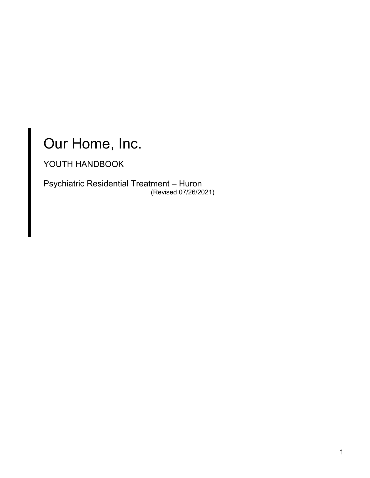# Our Home, Inc.

YOUTH HANDBOOK

Psychiatric Residential Treatment – Huron (Revised 07/26/2021)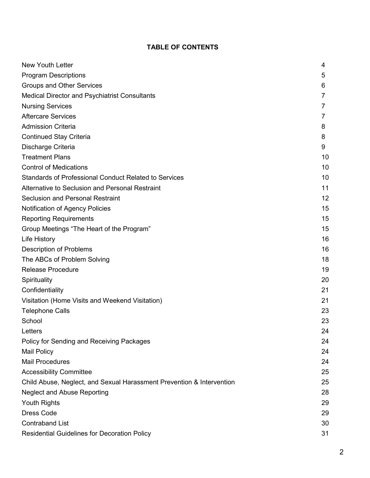# **TABLE OF CONTENTS**

| <b>New Youth Letter</b>                                               | 4              |
|-----------------------------------------------------------------------|----------------|
| <b>Program Descriptions</b>                                           | 5              |
| Groups and Other Services                                             | 6              |
| <b>Medical Director and Psychiatrist Consultants</b>                  | $\overline{7}$ |
| <b>Nursing Services</b>                                               | 7              |
| <b>Aftercare Services</b>                                             | 7              |
| <b>Admission Criteria</b>                                             | 8              |
| <b>Continued Stay Criteria</b>                                        | 8              |
| Discharge Criteria                                                    | 9              |
| <b>Treatment Plans</b>                                                | 10             |
| <b>Control of Medications</b>                                         | 10             |
| <b>Standards of Professional Conduct Related to Services</b>          | 10             |
| Alternative to Seclusion and Personal Restraint                       | 11             |
| <b>Seclusion and Personal Restraint</b>                               | 12             |
| Notification of Agency Policies                                       | 15             |
| <b>Reporting Requirements</b>                                         | 15             |
| Group Meetings "The Heart of the Program"                             | 15             |
| <b>Life History</b>                                                   | 16             |
| <b>Description of Problems</b>                                        | 16             |
| The ABCs of Problem Solving                                           | 18             |
| <b>Release Procedure</b>                                              | 19             |
| Spirituality                                                          | 20             |
| Confidentiality                                                       | 21             |
| Visitation (Home Visits and Weekend Visitation)                       | 21             |
| <b>Telephone Calls</b>                                                | 23             |
| School                                                                | 23             |
| Letters                                                               | 24             |
| Policy for Sending and Receiving Packages                             | 24             |
| <b>Mail Policy</b>                                                    | 24             |
| <b>Mail Procedures</b>                                                | 24             |
| <b>Accessibility Committee</b>                                        | 25             |
| Child Abuse, Neglect, and Sexual Harassment Prevention & Intervention | 25             |
| <b>Neglect and Abuse Reporting</b>                                    | 28             |
| <b>Youth Rights</b>                                                   | 29             |
| <b>Dress Code</b>                                                     | 29             |
| <b>Contraband List</b>                                                | 30             |
| <b>Residential Guidelines for Decoration Policy</b>                   | 31             |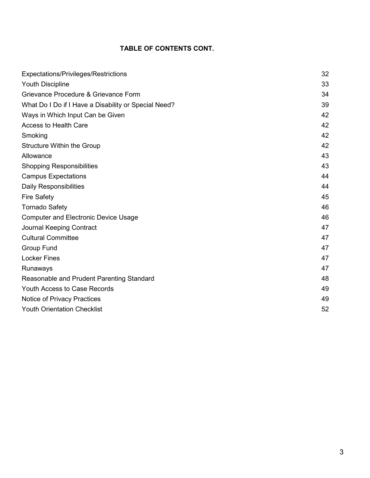# **TABLE OF CONTENTS CONT.**

| Expectations/Privileges/Restrictions                 | 32 |
|------------------------------------------------------|----|
| <b>Youth Discipline</b>                              | 33 |
| Grievance Procedure & Grievance Form                 | 34 |
| What Do I Do if I Have a Disability or Special Need? | 39 |
| Ways in Which Input Can be Given                     | 42 |
| <b>Access to Health Care</b>                         | 42 |
| Smoking                                              | 42 |
| <b>Structure Within the Group</b>                    | 42 |
| Allowance                                            | 43 |
| <b>Shopping Responsibilities</b>                     | 43 |
| <b>Campus Expectations</b>                           | 44 |
| <b>Daily Responsibilities</b>                        | 44 |
| <b>Fire Safety</b>                                   | 45 |
| <b>Tornado Safety</b>                                | 46 |
| <b>Computer and Electronic Device Usage</b>          | 46 |
| <b>Journal Keeping Contract</b>                      | 47 |
| <b>Cultural Committee</b>                            | 47 |
| <b>Group Fund</b>                                    | 47 |
| <b>Locker Fines</b>                                  | 47 |
| Runaways                                             | 47 |
| Reasonable and Prudent Parenting Standard            | 48 |
| <b>Youth Access to Case Records</b>                  | 49 |
| Notice of Privacy Practices                          | 49 |
| <b>Youth Orientation Checklist</b>                   | 52 |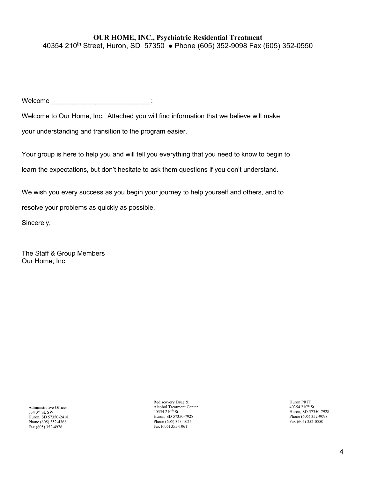#### **OUR HOME, INC., Psychiatric Residential Treatment**  40354 210<sup>th</sup> Street, Huron, SD 57350 • Phone (605) 352-9098 Fax (605) 352-0550

 $\blacksquare$  . Welcome  $\blacksquare$ 

Welcome to Our Home, Inc. Attached you will find information that we believe will make

your understanding and transition to the program easier.

Your group is here to help you and will tell you everything that you need to know to begin to learn the expectations, but don't hesitate to ask them questions if you don't understand.

We wish you every success as you begin your journey to help yourself and others, and to

resolve your problems as quickly as possible.

Sincerely,

The Staff & Group Members Our Home, Inc.

Administrative Offices 334 3rd St. SW Huron, SD 57350-2418 Phone (605) 352-4368 Fax (605) 352-4976

Rediscovery Drug & Alcohol Treatment Center 40354 210<sup>th</sup> St. Huron, SD 57350-7928 Phone (605) 353-1025 Fax (605) 353-1061

Huron PRTF 40354 210<sup>th</sup> St. Huron, SD 57350-7928 Phone (605) 352-9098 Fax (605) 352-0550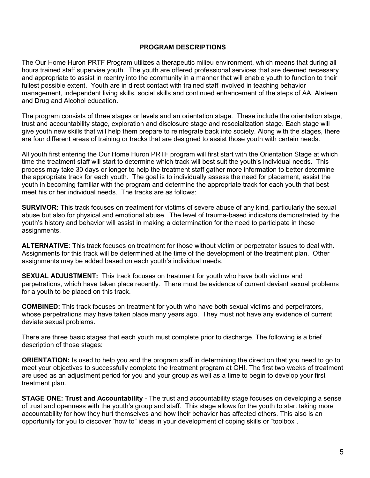#### **PROGRAM DESCRIPTIONS**

The Our Home Huron PRTF Program utilizes a therapeutic milieu environment, which means that during all hours trained staff supervise youth. The youth are offered professional services that are deemed necessary and appropriate to assist in reentry into the community in a manner that will enable youth to function to their fullest possible extent. Youth are in direct contact with trained staff involved in teaching behavior management, independent living skills, social skills and continued enhancement of the steps of AA, Alateen and Drug and Alcohol education.

The program consists of three stages or levels and an orientation stage. These include the orientation stage, trust and accountability stage, exploration and disclosure stage and resocialization stage. Each stage will give youth new skills that will help them prepare to reintegrate back into society. Along with the stages, there are four different areas of training or tracks that are designed to assist those youth with certain needs.

All youth first entering the Our Home Huron PRTF program will first start with the Orientation Stage at which time the treatment staff will start to determine which track will best suit the youth's individual needs. This process may take 30 days or longer to help the treatment staff gather more information to better determine the appropriate track for each youth. The goal is to individually assess the need for placement, assist the youth in becoming familiar with the program and determine the appropriate track for each youth that best meet his or her individual needs. The tracks are as follows:

**SURVIVOR:** This track focuses on treatment for victims of severe abuse of any kind, particularly the sexual abuse but also for physical and emotional abuse. The level of trauma-based indicators demonstrated by the youth's history and behavior will assist in making a determination for the need to participate in these assignments.

**ALTERNATIVE:** This track focuses on treatment for those without victim or perpetrator issues to deal with. Assignments for this track will be determined at the time of the development of the treatment plan. Other assignments may be added based on each youth's individual needs.

**SEXUAL ADJUSTMENT:** This track focuses on treatment for youth who have both victims and perpetrations, which have taken place recently. There must be evidence of current deviant sexual problems for a youth to be placed on this track.

**COMBINED:** This track focuses on treatment for youth who have both sexual victims and perpetrators, whose perpetrations may have taken place many years ago. They must not have any evidence of current deviate sexual problems.

There are three basic stages that each youth must complete prior to discharge. The following is a brief description of those stages:

**ORIENTATION:** Is used to help you and the program staff in determining the direction that you need to go to meet your objectives to successfully complete the treatment program at OHI. The first two weeks of treatment are used as an adjustment period for you and your group as well as a time to begin to develop your first treatment plan.

**STAGE ONE: Trust and Accountability** - The trust and accountability stage focuses on developing a sense of trust and openness with the youth's group and staff. This stage allows for the youth to start taking more accountability for how they hurt themselves and how their behavior has affected others. This also is an opportunity for you to discover "how to" ideas in your development of coping skills or "toolbox".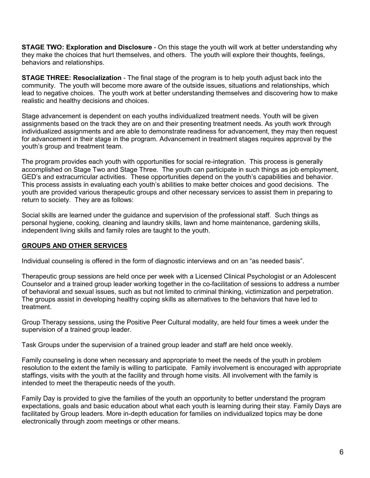**STAGE TWO: Exploration and Disclosure** - On this stage the youth will work at better understanding why they make the choices that hurt themselves, and others. The youth will explore their thoughts, feelings, behaviors and relationships.

**STAGE THREE: Resocialization** - The final stage of the program is to help youth adjust back into the community. The youth will become more aware of the outside issues, situations and relationships, which lead to negative choices. The youth work at better understanding themselves and discovering how to make realistic and healthy decisions and choices.

Stage advancement is dependent on each youths individualized treatment needs. Youth will be given assignments based on the track they are on and their presenting treatment needs. As youth work through individualized assignments and are able to demonstrate readiness for advancement, they may then request for advancement in their stage in the program. Advancement in treatment stages requires approval by the youth's group and treatment team.

The program provides each youth with opportunities for social re-integration. This process is generally accomplished on Stage Two and Stage Three. The youth can participate in such things as job employment, GED's and extracurricular activities. These opportunities depend on the youth's capabilities and behavior. This process assists in evaluating each youth's abilities to make better choices and good decisions. The youth are provided various therapeutic groups and other necessary services to assist them in preparing to return to society. They are as follows:

Social skills are learned under the guidance and supervision of the professional staff. Such things as personal hygiene, cooking, cleaning and laundry skills, lawn and home maintenance, gardening skills, independent living skills and family roles are taught to the youth.

# **GROUPS AND OTHER SERVICES**

Individual counseling is offered in the form of diagnostic interviews and on an "as needed basis".

Therapeutic group sessions are held once per week with a Licensed Clinical Psychologist or an Adolescent Counselor and a trained group leader working together in the co-facilitation of sessions to address a number of behavioral and sexual issues, such as but not limited to criminal thinking, victimization and perpetration. The groups assist in developing healthy coping skills as alternatives to the behaviors that have led to treatment.

Group Therapy sessions, using the Positive Peer Cultural modality, are held four times a week under the supervision of a trained group leader.

Task Groups under the supervision of a trained group leader and staff are held once weekly.

Family counseling is done when necessary and appropriate to meet the needs of the youth in problem resolution to the extent the family is willing to participate. Family involvement is encouraged with appropriate staffings, visits with the youth at the facility and through home visits. All involvement with the family is intended to meet the therapeutic needs of the youth.

Family Day is provided to give the families of the youth an opportunity to better understand the program expectations, goals and basic education about what each youth is learning during their stay. Family Days are facilitated by Group leaders. More in-depth education for families on individualized topics may be done electronically through zoom meetings or other means.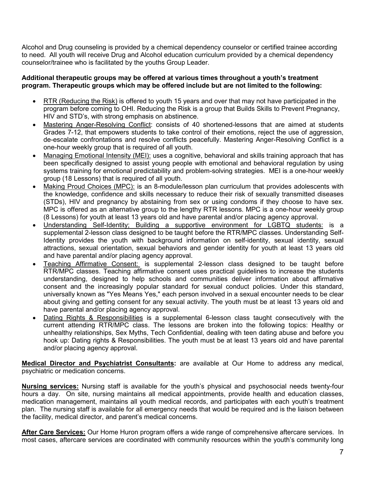Alcohol and Drug counseling is provided by a chemical dependency counselor or certified trainee according to need. All youth will receive Drug and Alcohol education curriculum provided by a chemical dependency counselor/trainee who is facilitated by the youths Group Leader.

#### **Additional therapeutic groups may be offered at various times throughout a youth's treatment program. Therapeutic groups which may be offered include but are not limited to the following:**

- RTR (Reducing the Risk) is offered to youth 15 years and over that may not have participated in the program before coming to OHI. Reducing the Risk is a group that Builds Skills to Prevent Pregnancy, HIV and STD's, with strong emphasis on abstinence.
- Mastering Anger-Resolving Conflict: consists of 40 shortened-lessons that are aimed at students Grades 7-12, that empowers students to take control of their emotions, reject the use of aggression, de-escalate confrontations and resolve conflicts peacefully. Mastering Anger-Resolving Conflict is a one-hour weekly group that is required of all youth.
- Managing Emotional Intensity (MEI): uses a cognitive, behavioral and skills training approach that has been specifically designed to assist young people with emotional and behavioral regulation by using systems training for emotional predictability and problem-solving strategies. MEI is a one-hour weekly group (18 Lessons) that is required of all youth.
- Making Proud Choices (MPC): is an 8-module/lesson plan curriculum that provides adolescents with the knowledge, confidence and skills necessary to reduce their risk of sexually transmitted diseases (STDs), HIV and pregnancy by abstaining from sex or using condoms if they choose to have sex. MPC is offered as an alternative group to the lengthy RTR lessons. MPC is a one-hour weekly group (8 Lessons) for youth at least 13 years old and have parental and/or placing agency approval.
- Understanding Self-Identity; Building a supportive environment for LGBTQ students: is a supplemental 2-lesson class designed to be taught before the RTR/MPC classes. Understanding Self-Identity provides the youth with background information on self-identity, sexual identity, sexual attractions, sexual orientation, sexual behaviors and gender identity for youth at least 13 years old and have parental and/or placing agency approval.
- Teaching Affirmative Consent: is supplemental 2-lesson class designed to be taught before RTR/MPC classes. Teaching affirmative consent uses practical guidelines to increase the students understanding, designed to help schools and communities deliver information about affirmative consent and the increasingly popular standard for sexual conduct policies. Under this standard, universally known as "Yes Means Yes," each person involved in a sexual encounter needs to be clear about giving and getting consent for any sexual activity. The youth must be at least 13 years old and have parental and/or placing agency approval.
- Dating Rights & Responsibilities is a supplemental 6-lesson class taught consecutively with the current attending RTR/MPC class. The lessons are broken into the following topics: Healthy or unhealthy relationships, Sex Myths, Tech Confidential, dealing with teen dating abuse and before you hook up: Dating rights & Responsibilities. The youth must be at least 13 years old and have parental and/or placing agency approval.

**Medical Director and Psychiatrist Consultants:** are available at Our Home to address any medical, psychiatric or medication concerns.

**Nursing services:** Nursing staff is available for the youth's physical and psychosocial needs twenty-four hours a day. On site, nursing maintains all medical appointments, provide health and education classes, medication management, maintains all youth medical records, and participates with each youth's treatment plan. The nursing staff is available for all emergency needs that would be required and is the liaison between the facility, medical director, and parent's medical concerns.

**After Care Services:** Our Home Huron program offers a wide range of comprehensive aftercare services. In most cases, aftercare services are coordinated with community resources within the youth's community long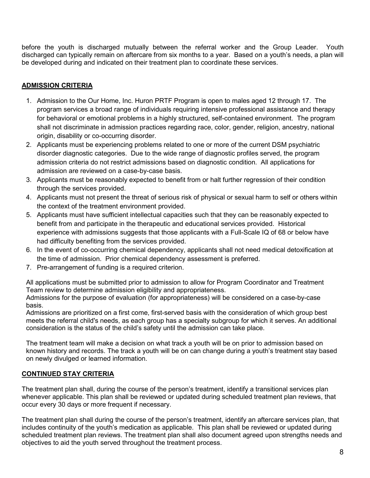before the youth is discharged mutually between the referral worker and the Group Leader. Youth discharged can typically remain on aftercare from six months to a year. Based on a youth's needs, a plan will be developed during and indicated on their treatment plan to coordinate these services.

# **ADMISSION CRITERIA**

- 1. Admission to the Our Home, Inc. Huron PRTF Program is open to males aged 12 through 17. The program services a broad range of individuals requiring intensive professional assistance and therapy for behavioral or emotional problems in a highly structured, self-contained environment. The program shall not discriminate in admission practices regarding race, color, gender, religion, ancestry, national origin, disability or co-occurring disorder.
- 2. Applicants must be experiencing problems related to one or more of the current DSM psychiatric disorder diagnostic categories. Due to the wide range of diagnostic profiles served, the program admission criteria do not restrict admissions based on diagnostic condition. All applications for admission are reviewed on a case-by-case basis.
- 3. Applicants must be reasonably expected to benefit from or halt further regression of their condition through the services provided.
- 4. Applicants must not present the threat of serious risk of physical or sexual harm to self or others within the context of the treatment environment provided.
- 5. Applicants must have sufficient intellectual capacities such that they can be reasonably expected to benefit from and participate in the therapeutic and educational services provided. Historical experience with admissions suggests that those applicants with a Full-Scale IQ of 68 or below have had difficulty benefiting from the services provided.
- 6. In the event of co-occurring chemical dependency, applicants shall not need medical detoxification at the time of admission. Prior chemical dependency assessment is preferred.
- 7. Pre-arrangement of funding is a required criterion.

All applications must be submitted prior to admission to allow for Program Coordinator and Treatment Team review to determine admission eligibility and appropriateness.

Admissions for the purpose of evaluation (for appropriateness) will be considered on a case-by-case basis.

Admissions are prioritized on a first come, first-served basis with the consideration of which group best meets the referral child's needs, as each group has a specialty subgroup for which it serves. An additional consideration is the status of the child's safety until the admission can take place.

The treatment team will make a decision on what track a youth will be on prior to admission based on known history and records. The track a youth will be on can change during a youth's treatment stay based on newly divulged or learned information.

# **CONTINUED STAY CRITERIA**

The treatment plan shall, during the course of the person's treatment, identify a transitional services plan whenever applicable. This plan shall be reviewed or updated during scheduled treatment plan reviews, that occur every 30 days or more frequent if necessary.

The treatment plan shall during the course of the person's treatment, identify an aftercare services plan, that includes continuity of the youth's medication as applicable. This plan shall be reviewed or updated during scheduled treatment plan reviews. The treatment plan shall also document agreed upon strengths needs and objectives to aid the youth served throughout the treatment process.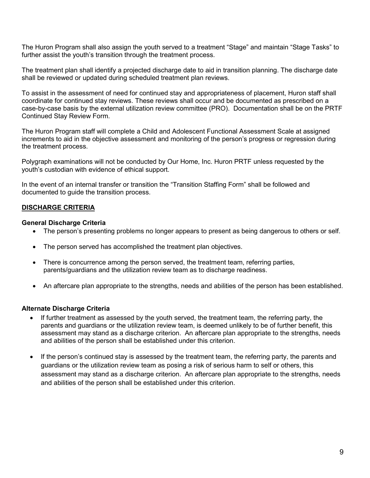The Huron Program shall also assign the youth served to a treatment "Stage" and maintain "Stage Tasks" to further assist the youth's transition through the treatment process.

The treatment plan shall identify a projected discharge date to aid in transition planning. The discharge date shall be reviewed or updated during scheduled treatment plan reviews.

To assist in the assessment of need for continued stay and appropriateness of placement, Huron staff shall coordinate for continued stay reviews. These reviews shall occur and be documented as prescribed on a case-by-case basis by the external utilization review committee (PRO). Documentation shall be on the PRTF Continued Stay Review Form.

The Huron Program staff will complete a Child and Adolescent Functional Assessment Scale at assigned increments to aid in the objective assessment and monitoring of the person's progress or regression during the treatment process.

Polygraph examinations will not be conducted by Our Home, Inc. Huron PRTF unless requested by the youth's custodian with evidence of ethical support.

In the event of an internal transfer or transition the "Transition Staffing Form" shall be followed and documented to guide the transition process.

# **DISCHARGE CRITERIA**

#### **General Discharge Criteria**

- The person's presenting problems no longer appears to present as being dangerous to others or self.
- The person served has accomplished the treatment plan objectives.
- There is concurrence among the person served, the treatment team, referring parties, parents/guardians and the utilization review team as to discharge readiness.
- An aftercare plan appropriate to the strengths, needs and abilities of the person has been established.

#### **Alternate Discharge Criteria**

- If further treatment as assessed by the youth served, the treatment team, the referring party, the parents and guardians or the utilization review team, is deemed unlikely to be of further benefit, this assessment may stand as a discharge criterion. An aftercare plan appropriate to the strengths, needs and abilities of the person shall be established under this criterion.
- If the person's continued stay is assessed by the treatment team, the referring party, the parents and guardians or the utilization review team as posing a risk of serious harm to self or others, this assessment may stand as a discharge criterion. An aftercare plan appropriate to the strengths, needs and abilities of the person shall be established under this criterion.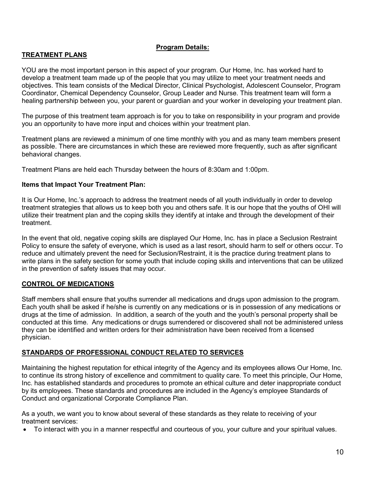# **Program Details:**

# **TREATMENT PLANS**

YOU are the most important person in this aspect of your program. Our Home, Inc. has worked hard to develop a treatment team made up of the people that you may utilize to meet your treatment needs and objectives. This team consists of the Medical Director, Clinical Psychologist, Adolescent Counselor, Program Coordinator, Chemical Dependency Counselor, Group Leader and Nurse. This treatment team will form a healing partnership between you, your parent or guardian and your worker in developing your treatment plan.

The purpose of this treatment team approach is for you to take on responsibility in your program and provide you an opportunity to have more input and choices within your treatment plan.

Treatment plans are reviewed a minimum of one time monthly with you and as many team members present as possible. There are circumstances in which these are reviewed more frequently, such as after significant behavioral changes.

Treatment Plans are held each Thursday between the hours of 8:30am and 1:00pm.

#### **Items that Impact Your Treatment Plan:**

It is Our Home, Inc.'s approach to address the treatment needs of all youth individually in order to develop treatment strategies that allows us to keep both you and others safe. It is our hope that the youths of OHI will utilize their treatment plan and the coping skills they identify at intake and through the development of their treatment.

In the event that old, negative coping skills are displayed Our Home, Inc. has in place a Seclusion Restraint Policy to ensure the safety of everyone, which is used as a last resort, should harm to self or others occur. To reduce and ultimately prevent the need for Seclusion/Restraint, it is the practice during treatment plans to write plans in the safety section for some youth that include coping skills and interventions that can be utilized in the prevention of safety issues that may occur.

#### **CONTROL OF MEDICATIONS**

Staff members shall ensure that youths surrender all medications and drugs upon admission to the program. Each youth shall be asked if he/she is currently on any medications or is in possession of any medications or drugs at the time of admission. In addition, a search of the youth and the youth's personal property shall be conducted at this time. Any medications or drugs surrendered or discovered shall not be administered unless they can be identified and written orders for their administration have been received from a licensed physician.

#### **STANDARDS OF PROFESSIONAL CONDUCT RELATED TO SERVICES**

Maintaining the highest reputation for ethical integrity of the Agency and its employees allows Our Home, Inc. to continue its strong history of excellence and commitment to quality care. To meet this principle, Our Home, Inc. has established standards and procedures to promote an ethical culture and deter inappropriate conduct by its employees. These standards and procedures are included in the Agency's employee Standards of Conduct and organizational Corporate Compliance Plan.

As a youth, we want you to know about several of these standards as they relate to receiving of your treatment services:

• To interact with you in a manner respectful and courteous of you, your culture and your spiritual values.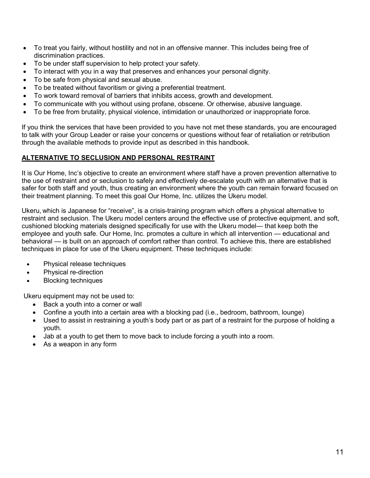- To treat you fairly, without hostility and not in an offensive manner. This includes being free of discrimination practices.
- To be under staff supervision to help protect your safety.
- To interact with you in a way that preserves and enhances your personal dignity.
- To be safe from physical and sexual abuse.
- To be treated without favoritism or giving a preferential treatment.
- To work toward removal of barriers that inhibits access, growth and development.
- To communicate with you without using profane, obscene. Or otherwise, abusive language.
- To be free from brutality, physical violence, intimidation or unauthorized or inappropriate force.

If you think the services that have been provided to you have not met these standards, you are encouraged to talk with your Group Leader or raise your concerns or questions without fear of retaliation or retribution through the available methods to provide input as described in this handbook.

# **ALTERNATIVE TO SECLUSION AND PERSONAL RESTRAINT**

It is Our Home, Inc's objective to create an environment where staff have a proven prevention alternative to the use of restraint and or seclusion to safely and effectively de-escalate youth with an alternative that is safer for both staff and youth, thus creating an environment where the youth can remain forward focused on their treatment planning. To meet this goal Our Home, Inc. utilizes the Ukeru model.

Ukeru, which is Japanese for "receive", is a [crisis-training program](https://www.ukerusystems.com/our-restraint-free-crisis-management-solutions/trauma-informed-restraint-free-training/) which offers a physical alternative to restraint and seclusion. The Ukeru model centers around the effective use of protective equipment, and soft, cushioned blocking materials designed specifically for use with the Ukeru model— that keep both the employee and youth safe. Our Home, Inc. promotes a culture in which all intervention — educational and behavioral — is built on an approach of comfort rather than control. To achieve this, there are established techniques in place for use of the Ukeru equipment. These techniques include:

- Physical release techniques
- Physical re-direction
- Blocking techniques

Ukeru equipment may not be used to:

- Back a youth into a corner or wall
- Confine a youth into a certain area with a blocking pad (i.e., bedroom, bathroom, lounge)
- Used to assist in restraining a youth's body part or as part of a restraint for the purpose of holding a youth.
- Jab at a youth to get them to move back to include forcing a youth into a room.
- As a weapon in any form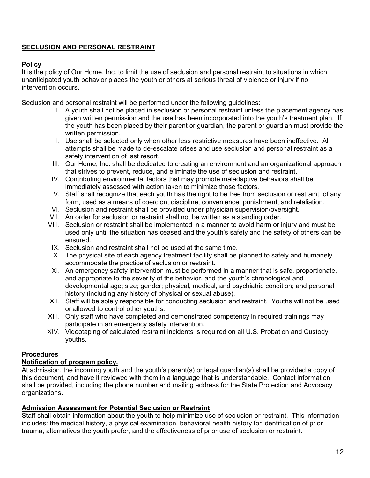# **SECLUSION AND PERSONAL RESTRAINT**

# **Policy**

It is the policy of Our Home, Inc. to limit the use of seclusion and personal restraint to situations in which unanticipated youth behavior places the youth or others at serious threat of violence or injury if no intervention occurs.

Seclusion and personal restraint will be performed under the following guidelines:

- I. A youth shall not be placed in seclusion or personal restraint unless the placement agency has given written permission and the use has been incorporated into the youth's treatment plan. If the youth has been placed by their parent or guardian, the parent or guardian must provide the written permission.
- II. Use shall be selected only when other less restrictive measures have been ineffective. All attempts shall be made to de-escalate crises and use seclusion and personal restraint as a safety intervention of last resort.
- III. Our Home, Inc. shall be dedicated to creating an environment and an organizational approach that strives to prevent, reduce, and eliminate the use of seclusion and restraint.
- IV. Contributing environmental factors that may promote maladaptive behaviors shall be immediately assessed with action taken to minimize those factors.
- V. Staff shall recognize that each youth has the right to be free from seclusion or restraint, of any form, used as a means of coercion, discipline, convenience, punishment, and retaliation.
- VI. Seclusion and restraint shall be provided under physician supervision/oversight.
- VII. An order for seclusion or restraint shall not be written as a standing order.
- VIII. Seclusion or restraint shall be implemented in a manner to avoid harm or injury and must be used only until the situation has ceased and the youth's safety and the safety of others can be ensured.
- IX. Seclusion and restraint shall not be used at the same time.
- X. The physical site of each agency treatment facility shall be planned to safely and humanely accommodate the practice of seclusion or restraint.
- XI. An emergency safety intervention must be performed in a manner that is safe, proportionate, and appropriate to the severity of the behavior, and the youth's chronological and developmental age; size; gender; physical, medical, and psychiatric condition; and personal history (including any history of physical or sexual abuse).
- XII. Staff will be solely responsible for conducting seclusion and restraint. Youths will not be used or allowed to control other youths.
- XIII. Only staff who have completed and demonstrated competency in required trainings may participate in an emergency safety intervention.
- XIV. Videotaping of calculated restraint incidents is required on all U.S. Probation and Custody youths.

# **Procedures**

# **Notification of program policy.**

At admission, the incoming youth and the youth's parent(s) or legal guardian(s) shall be provided a copy of this document, and have it reviewed with them in a language that is understandable. Contact information shall be provided, including the phone number and mailing address for the State Protection and Advocacy organizations.

# **Admission Assessment for Potential Seclusion or Restraint**

Staff shall obtain information about the youth to help minimize use of seclusion or restraint. This information includes: the medical history, a physical examination, behavioral health history for identification of prior trauma, alternatives the youth prefer, and the effectiveness of prior use of seclusion or restraint.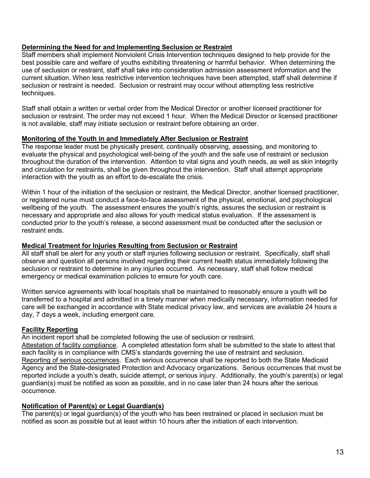# **Determining the Need for and Implementing Seclusion or Restraint**

Staff members shall implement Nonviolent Crisis Intervention techniques designed to help provide for the best possible care and welfare of youths exhibiting threatening or harmful behavior. When determining the use of seclusion or restraint, staff shall take into consideration admission assessment information and the current situation. When less restrictive intervention techniques have been attempted, staff shall determine if seclusion or restraint is needed. Seclusion or restraint may occur without attempting less restrictive techniques.

Staff shall obtain a written or verbal order from the Medical Director or another licensed practitioner for seclusion or restraint. The order may not exceed 1 hour. When the Medical Director or licensed practitioner is not available, staff may initiate seclusion or restraint before obtaining an order.

#### **Monitoring of the Youth in and Immediately After Seclusion or Restraint**

The response leader must be physically present, continually observing, assessing, and monitoring to evaluate the physical and psychological well-being of the youth and the safe use of restraint or seclusion throughout the duration of the intervention. Attention to vital signs and youth needs, as well as skin integrity and circulation for restraints, shall be given throughout the intervention. Staff shall attempt appropriate interaction with the youth as an effort to de-escalate the crisis.

Within 1 hour of the initiation of the seclusion or restraint, the Medical Director, another licensed practitioner, or registered nurse must conduct a face-to-face assessment of the physical, emotional, and psychological wellbeing of the youth. The assessment ensures the youth's rights, assures the seclusion or restraint is necessary and appropriate and also allows for youth medical status evaluation. If the assessment is conducted prior to the youth's release, a second assessment must be conducted after the seclusion or restraint ends.

#### **Medical Treatment for Injuries Resulting from Seclusion or Restraint**

All staff shall be alert for any youth or staff injuries following seclusion or restraint. Specifically, staff shall observe and question all persons involved regarding their current health status immediately following the seclusion or restraint to determine in any injuries occurred. As necessary, staff shall follow medical emergency or medical examination policies to ensure for youth care.

Written service agreements with local hospitals shall be maintained to reasonably ensure a youth will be transferred to a hospital and admitted in a timely manner when medically necessary, information needed for care will be exchanged in accordance with State medical privacy law, and services are available 24 hours a day, 7 days a week, including emergent care.

# **Facility Reporting**

An incident report shall be completed following the use of seclusion or restraint.

Attestation of facility compliance. A completed attestation form shall be submitted to the state to attest that each facility is in compliance with CMS's standards governing the use of restraint and seclusion. Reporting of serious occurrences. Each serious occurrence shall be reported to both the State Medicaid Agency and the State-designated Protection and Advocacy organizations. Serious occurrences that must be reported include a youth's death, suicide attempt, or serious injury. Additionally, the youth's parent(s) or legal guardian(s) must be notified as soon as possible, and in no case later than 24 hours after the serious occurrence.

# **Notification of Parent(s) or Legal Guardian(s)**

The parent(s) or legal guardian(s) of the youth who has been restrained or placed in seclusion must be notified as soon as possible but at least within 10 hours after the initiation of each intervention.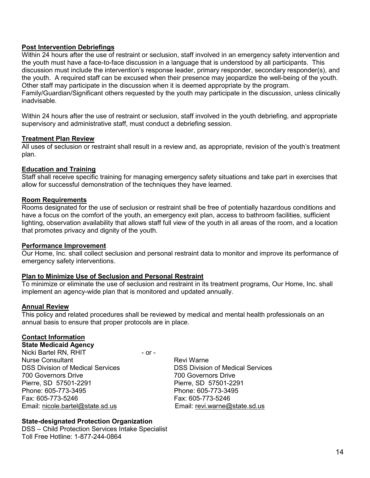#### **Post Intervention Debriefings**

Within 24 hours after the use of restraint or seclusion, staff involved in an emergency safety intervention and the youth must have a face-to-face discussion in a language that is understood by all participants. This discussion must include the intervention's response leader, primary responder, secondary responder(s), and the youth. A required staff can be excused when their presence may jeopardize the well-being of the youth. Other staff may participate in the discussion when it is deemed appropriate by the program.

Family/Guardian/Significant others requested by the youth may participate in the discussion, unless clinically inadvisable.

Within 24 hours after the use of restraint or seclusion, staff involved in the youth debriefing, and appropriate supervisory and administrative staff, must conduct a debriefing session.

#### **Treatment Plan Review**

All uses of seclusion or restraint shall result in a review and, as appropriate, revision of the youth's treatment plan.

#### **Education and Training**

Staff shall receive specific training for managing emergency safety situations and take part in exercises that allow for successful demonstration of the techniques they have learned.

#### **Room Requirements**

Rooms designated for the use of seclusion or restraint shall be free of potentially hazardous conditions and have a focus on the comfort of the youth, an emergency exit plan, access to bathroom facilities, sufficient lighting, observation availability that allows staff full view of the youth in all areas of the room, and a location that promotes privacy and dignity of the youth.

#### **Performance Improvement**

Our Home, Inc. shall collect seclusion and personal restraint data to monitor and improve its performance of emergency safety interventions.

#### **Plan to Minimize Use of Seclusion and Personal Restraint**

To minimize or eliminate the use of seclusion and restraint in its treatment programs, Our Home, Inc. shall implement an agency-wide plan that is monitored and updated annually.

#### **Annual Review**

This policy and related procedures shall be reviewed by medical and mental health professionals on an annual basis to ensure that proper protocols are in place.

#### **Contact Information**

**State Medicaid Agency** Nicki Bartel RN, RHIT - or -Nurse Consultant **Review Access** Revi Warne DSS Division of Medical Services **DSS Division of Medical Services** 700 Governors Drive 700 Governors Drive Pierre, SD 57501-2291 Pierre, SD 57501-2291 Phone: 605-773-3495 Phone: 605-773-3495 Email: [nicole.bartel@state.sd.us](mailto:nicole.bartel@state.sd.us) Email: revi.warne@state.sd.us

Fax: 605-773-5246 Fax: 605-773-5246

#### **State-designated Protection Organization**

DSS – Child Protection Services Intake Specialist Toll Free Hotline: 1-877-244-0864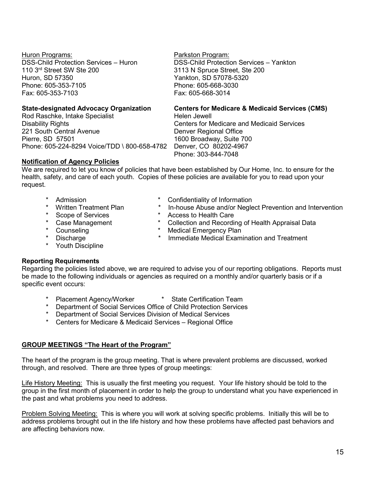Huron Programs: Parkston Program: Huron, SD 57350 Yankton, SD 57078-5320 Phone: 605-353-7105<br>Fax: 605-353-7103 Fax: 605-668-3014 Fax: 605-353-7103

Rod Raschke, Intake Specialist Disability Rights Centers for Medicare and Medicaid Services 221 South Central Avenue **Denver Regional Office** Pierre, SD 57501 1600 Broadway, Suite 700<br>Phone: 605-224-8294 Voice/TDD \ 800-658-4782 Denver, CO 80202-4967 Phone: 605-224-8294 Voice/TDD \ 800-658-4782

# **Notification of Agency Policies**

We are required to let you know of policies that have been established by Our Home, Inc. to ensure for the health, safety, and care of each youth. Copies of these policies are available for you to read upon your request.

- 
- -
- 
- 
- 
- \* Youth Discipline

# **Reporting Requirements**

Regarding the policies listed above, we are required to advise you of our reporting obligations. Reports must be made to the following individuals or agencies as required on a monthly and/or quarterly basis or if a specific event occurs:

- Placement Agency/Worker \* State Certification Team
- \* Department of Social Services Office of Child Protection Services
- \* Department of Social Services Division of Medical Services
- \* Centers for Medicare & Medicaid Services Regional Office

# **GROUP MEETINGS "The Heart of the Program"**

The heart of the program is the group meeting. That is where prevalent problems are discussed, worked through, and resolved. There are three types of group meetings:

Life History Meeting: This is usually the first meeting you request. Your life history should be told to the group in the first month of placement in order to help the group to understand what you have experienced in the past and what problems you need to address.

Problem Solving Meeting: This is where you will work at solving specific problems. Initially this will be to address problems brought out in the life history and how these problems have affected past behaviors and are affecting behaviors now.

DSS-Child Protection Services – Huron DSS-Child Protection Services – Yankton 110 3<sup>rd</sup> Street SW Ste 200 3113 N Spruce Street, Ste 200

**State-designated Advocacy Organization Centers for Medicare & Medicaid Services (CMS)**

Phone: 303-844-7048

- \* Admission \* Confidentiality of Information
	- \* Written Treatment Plan \* In-house Abuse and/or Neglect Prevention and Intervention
- \* Scope of Services \* \* Access to Health Care<br>\* Case Management \* \* Collection and Recordi
- \* Case Management \* Collection and Recording of Health Appraisal Data<br>\* Counseling \* \* Medical Emergency Plan
- \* Counseling \* \* Medical Emergency Plan<br>\* Discharge \* \* \* Immediate Medical Exam
	- Immediate Medical Examination and Treatment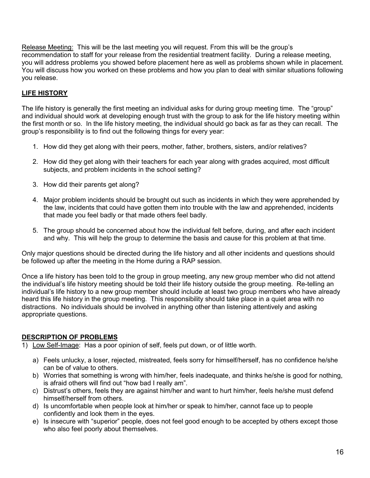Release Meeting: This will be the last meeting you will request. From this will be the group's recommendation to staff for your release from the residential treatment facility. During a release meeting, you will address problems you showed before placement here as well as problems shown while in placement. You will discuss how you worked on these problems and how you plan to deal with similar situations following you release.

# **LIFE HISTORY**

The life history is generally the first meeting an individual asks for during group meeting time. The "group" and individual should work at developing enough trust with the group to ask for the life history meeting within the first month or so. In the life history meeting, the individual should go back as far as they can recall. The group's responsibility is to find out the following things for every year:

- 1. How did they get along with their peers, mother, father, brothers, sisters, and/or relatives?
- 2. How did they get along with their teachers for each year along with grades acquired, most difficult subjects, and problem incidents in the school setting?
- 3. How did their parents get along?
- 4. Major problem incidents should be brought out such as incidents in which they were apprehended by the law, incidents that could have gotten them into trouble with the law and apprehended, incidents that made you feel badly or that made others feel badly.
- 5. The group should be concerned about how the individual felt before, during, and after each incident and why. This will help the group to determine the basis and cause for this problem at that time.

Only major questions should be directed during the life history and all other incidents and questions should be followed up after the meeting in the Home during a RAP session.

Once a life history has been told to the group in group meeting, any new group member who did not attend the individual's life history meeting should be told their life history outside the group meeting. Re-telling an individual's life history to a new group member should include at least two group members who have already heard this life history in the group meeting. This responsibility should take place in a quiet area with no distractions. No individuals should be involved in anything other than listening attentively and asking appropriate questions.

# **DESCRIPTION OF PROBLEMS**

- 1) Low Self-Image: Has a poor opinion of self, feels put down, or of little worth.
	- a) Feels unlucky, a loser, rejected, mistreated, feels sorry for himself/herself, has no confidence he/she can be of value to others.
	- b) Worries that something is wrong with him/her, feels inadequate, and thinks he/she is good for nothing, is afraid others will find out "how bad I really am".
	- c) Distrust's others, feels they are against him/her and want to hurt him/her, feels he/she must defend himself/herself from others.
	- d) Is uncomfortable when people look at him/her or speak to him/her, cannot face up to people confidently and look them in the eyes.
	- e) Is insecure with "superior" people, does not feel good enough to be accepted by others except those who also feel poorly about themselves.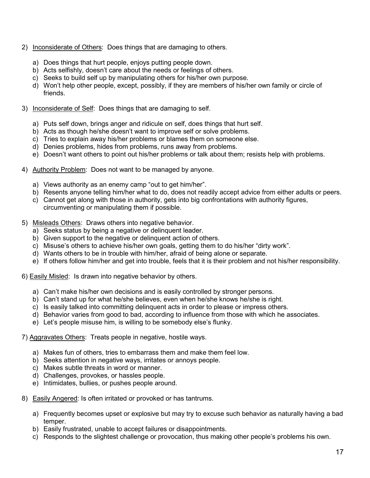- 2) Inconsiderate of Others: Does things that are damaging to others.
	- a) Does things that hurt people, enjoys putting people down.
	- b) Acts selfishly, doesn't care about the needs or feelings of others.
	- c) Seeks to build self up by manipulating others for his/her own purpose.
	- d) Won't help other people, except, possibly, if they are members of his/her own family or circle of friends.
- 3) Inconsiderate of Self: Does things that are damaging to self.
	- a) Puts self down, brings anger and ridicule on self, does things that hurt self.
	- b) Acts as though he/she doesn't want to improve self or solve problems.
	- c) Tries to explain away his/her problems or blames them on someone else.
	- d) Denies problems, hides from problems, runs away from problems.
	- e) Doesn't want others to point out his/her problems or talk about them; resists help with problems.
- 4) Authority Problem: Does not want to be managed by anyone.
	- a) Views authority as an enemy camp "out to get him/her".
	- b) Resents anyone telling him/her what to do, does not readily accept advice from either adults or peers.
	- c) Cannot get along with those in authority, gets into big confrontations with authority figures, circumventing or manipulating them if possible.
- 5) Misleads Others: Draws others into negative behavior.
	- a) Seeks status by being a negative or delinquent leader.
	- b) Given support to the negative or delinquent action of others.
	- c) Misuse's others to achieve his/her own goals, getting them to do his/her "dirty work".
	- d) Wants others to be in trouble with him/her, afraid of being alone or separate.
	- e) If others follow him/her and get into trouble, feels that it is their problem and not his/her responsibility.
- 6) Easily Misled: Is drawn into negative behavior by others.
	- a) Can't make his/her own decisions and is easily controlled by stronger persons.
	- b) Can't stand up for what he/she believes, even when he/she knows he/she is right.
	- c) Is easily talked into committing delinquent acts in order to please or impress others.
	- d) Behavior varies from good to bad, according to influence from those with which he associates.
	- e) Let's people misuse him, is willing to be somebody else's flunky.
- 7) Aggravates Others: Treats people in negative, hostile ways.
	- a) Makes fun of others, tries to embarrass them and make them feel low.
	- b) Seeks attention in negative ways, irritates or annoys people.
	- c) Makes subtle threats in word or manner.
	- d) Challenges, provokes, or hassles people.
	- e) Intimidates, bullies, or pushes people around.
- 8) Easily Angered: Is often irritated or provoked or has tantrums.
	- a) Frequently becomes upset or explosive but may try to excuse such behavior as naturally having a bad temper.
	- b) Easily frustrated, unable to accept failures or disappointments.
	- c) Responds to the slightest challenge or provocation, thus making other people's problems his own.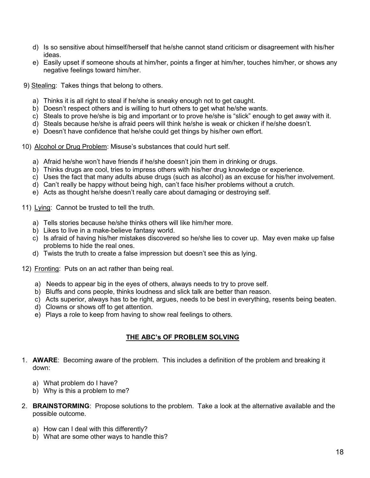- d) Is so sensitive about himself/herself that he/she cannot stand criticism or disagreement with his/her ideas.
- e) Easily upset if someone shouts at him/her, points a finger at him/her, touches him/her, or shows any negative feelings toward him/her.
- 9) Stealing: Takes things that belong to others.
	- a) Thinks it is all right to steal if he/she is sneaky enough not to get caught.
	- b) Doesn't respect others and is willing to hurt others to get what he/she wants.
	- c) Steals to prove he/she is big and important or to prove he/she is "slick" enough to get away with it.
	- d) Steals because he/she is afraid peers will think he/she is weak or chicken if he/she doesn't.
	- e) Doesn't have confidence that he/she could get things by his/her own effort.
- 10) Alcohol or Drug Problem: Misuse's substances that could hurt self.
	- a) Afraid he/she won't have friends if he/she doesn't join them in drinking or drugs.
	- b) Thinks drugs are cool, tries to impress others with his/her drug knowledge or experience.
	- c) Uses the fact that many adults abuse drugs (such as alcohol) as an excuse for his/her involvement.
	- d) Can't really be happy without being high, can't face his/her problems without a crutch.
	- e) Acts as thought he/she doesn't really care about damaging or destroying self.
- 11) Lying: Cannot be trusted to tell the truth.
	- a) Tells stories because he/she thinks others will like him/her more.
	- b) Likes to live in a make-believe fantasy world.
	- c) Is afraid of having his/her mistakes discovered so he/she lies to cover up. May even make up false problems to hide the real ones.
	- d) Twists the truth to create a false impression but doesn't see this as lying.
- 12) Fronting: Puts on an act rather than being real.
	- a) Needs to appear big in the eyes of others, always needs to try to prove self.
	- b) Bluffs and cons people, thinks loudness and slick talk are better than reason.
	- c) Acts superior, always has to be right, argues, needs to be best in everything, resents being beaten.
	- d) Clowns or shows off to get attention.
	- e) Plays a role to keep from having to show real feelings to others.

# **THE ABC's OF PROBLEM SOLVING**

- 1. **AWARE**: Becoming aware of the problem. This includes a definition of the problem and breaking it down:
	- a) What problem do I have?
	- b) Why is this a problem to me?
- 2. **BRAINSTORMING**: Propose solutions to the problem. Take a look at the alternative available and the possible outcome.
	- a) How can I deal with this differently?
	- b) What are some other ways to handle this?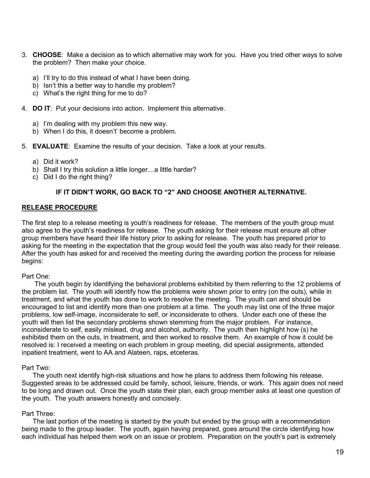- 3. **CHOOSE**: Make a decision as to which alternative may work for you. Have you tried other ways to solve the problem? Then make your choice.
	- a) I'll try to do this instead of what I have been doing.
	- b) Isn't this a better way to handle my problem?
	- c) What's the right thing for me to do?
- 4. **DO IT**: Put your decisions into action. Implement this alternative.
	- a) I'm dealing with my problem this new way.
	- b) When I do this, it doesn't' become a problem.
- 5. **EVALUATE**: Examine the results of your decision. Take a look at your results.
	- a) Did it work?
	- b) Shall I try this solution a little longer...a little harder?
	- c) Did I do the right thing?

# **IF IT DIDN'T WORK, GO BACK TO "2" AND CHOOSE ANOTHER ALTERNATIVE.**

#### **RELEASE PROCEDURE**

The first step to a release meeting is youth's readiness for release. The members of the youth group must also agree to the youth's readiness for release. The youth asking for their release must ensure all other group members have heard their life history prior to asking for release. The youth has prepared prior to asking for the meeting in the expectation that the group would feel the youth was also ready for their release. After the youth has asked for and received the meeting during the awarding portion the process for release begins:

#### Part One:

 The youth begin by identifying the behavioral problems exhibited by them referring to the 12 problems of the problem list. The youth will identify how the problems were shown prior to entry (on the outs), while in treatment, and what the youth has done to work to resolve the meeting. The youth can and should be encouraged to list and identify more than one problem at a time. The youth may list one of the three major problems, low self-image, inconsiderate to self, or inconsiderate to others. Under each one of these the youth will then list the secondary problems shown stemming from the major problem. For instance, inconsiderate to self, easily mislead, drug and alcohol, authority. The youth then highlight how (s) he exhibited them on the outs, in treatment, and then worked to resolve them. An example of how it could be resolved is: I received a meeting on each problem in group meeting, did special assignments, attended inpatient treatment, went to AA and Alateen, raps, etceteras.

#### Part Two:

 The youth next identify high-risk situations and how he plans to address them following his release. Suggested areas to be addressed could be family, school, leisure, friends, or work. This again does not need to be long and drawn out. Once the youth state their plan, each group member asks at least one question of the youth. The youth answers honestly and concisely.

#### Part Three:

 The last portion of the meeting is started by the youth but ended by the group with a recommendation being made to the group leader. The youth, again having prepared, goes around the circle identifying how each individual has helped them work on an issue or problem. Preparation on the youth's part is extremely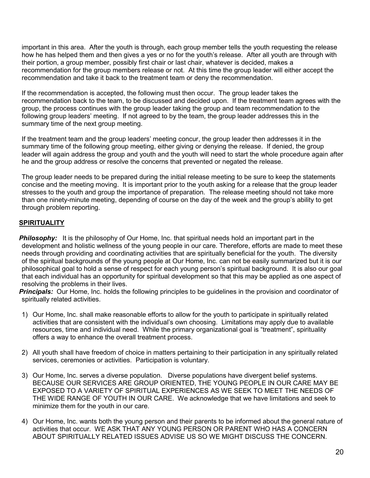important in this area. After the youth is through, each group member tells the youth requesting the release how he has helped them and then gives a yes or no for the youth's release. After all youth are through with their portion, a group member, possibly first chair or last chair, whatever is decided, makes a recommendation for the group members release or not. At this time the group leader will either accept the recommendation and take it back to the treatment team or deny the recommendation.

If the recommendation is accepted, the following must then occur. The group leader takes the recommendation back to the team, to be discussed and decided upon. If the treatment team agrees with the group, the process continues with the group leader taking the group and team recommendation to the following group leaders' meeting. If not agreed to by the team, the group leader addresses this in the summary time of the next group meeting.

If the treatment team and the group leaders' meeting concur, the group leader then addresses it in the summary time of the following group meeting, either giving or denying the release. If denied, the group leader will again address the group and youth and the youth will need to start the whole procedure again after he and the group address or resolve the concerns that prevented or negated the release.

The group leader needs to be prepared during the initial release meeting to be sure to keep the statements concise and the meeting moving. It is important prior to the youth asking for a release that the group leader stresses to the youth and group the importance of preparation. The release meeting should not take more than one ninety-minute meeting, depending of course on the day of the week and the group's ability to get through problem reporting.

# **SPIRITUALITY**

**Philosophy:** It is the philosophy of Our Home, Inc. that spiritual needs hold an important part in the development and holistic wellness of the young people in our care. Therefore, efforts are made to meet these needs through providing and coordinating activities that are spiritually beneficial for the youth. The diversity of the spiritual backgrounds of the young people at Our Home, Inc. can not be easily summarized but it is our philosophical goal to hold a sense of respect for each young person's spiritual background. It is also our goal that each individual has an opportunity for spiritual development so that this may be applied as one aspect of resolving the problems in their lives.

*Principals:* Our Home, Inc. holds the following principles to be guidelines in the provision and coordinator of spiritually related activities.

- 1) Our Home, Inc. shall make reasonable efforts to allow for the youth to participate in spiritually related activities that are consistent with the individual's own choosing. Limitations may apply due to available resources, time and individual need. While the primary organizational goal is "treatment", spirituality offers a way to enhance the overall treatment process.
- 2) All youth shall have freedom of choice in matters pertaining to their participation in any spiritually related services, ceremonies or activities. Participation is voluntary.
- 3) Our Home, Inc. serves a diverse population. Diverse populations have divergent belief systems. BECAUSE OUR SERVICES ARE GROUP ORIENTED, THE YOUNG PEOPLE IN OUR CARE MAY BE EXPOSED TO A VARIETY OF SPIRITUAL EXPERIENCES AS WE SEEK TO MEET THE NEEDS OF THE WIDE RANGE OF YOUTH IN OUR CARE. We acknowledge that we have limitations and seek to minimize them for the youth in our care.
- 4) Our Home, Inc. wants both the young person and their parents to be informed about the general nature of activities that occur. WE ASK THAT ANY YOUNG PERSON OR PARENT WHO HAS A CONCERN ABOUT SPIRITUALLY RELATED ISSUES ADVISE US SO WE MIGHT DISCUSS THE CONCERN.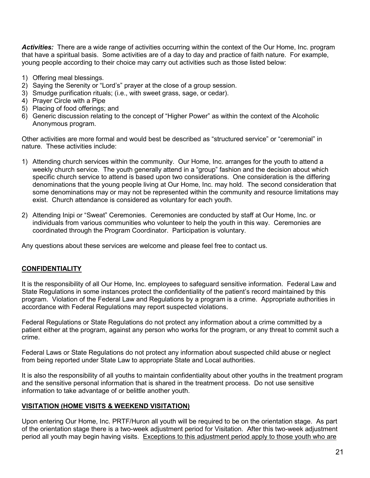*Activities:* There are a wide range of activities occurring within the context of the Our Home, Inc. program that have a spiritual basis. Some activities are of a day to day and practice of faith nature. For example, young people according to their choice may carry out activities such as those listed below:

- 1) Offering meal blessings.
- 2) Saying the Serenity or "Lord's" prayer at the close of a group session.
- 3) Smudge purification rituals; (i.e., with sweet grass, sage, or cedar).
- 4) Prayer Circle with a Pipe
- 5) Placing of food offerings; and
- 6) Generic discussion relating to the concept of "Higher Power" as within the context of the Alcoholic Anonymous program.

Other activities are more formal and would best be described as "structured service" or "ceremonial" in nature. These activities include:

- 1) Attending church services within the community. Our Home, Inc. arranges for the youth to attend a weekly church service. The youth generally attend in a "group" fashion and the decision about which specific church service to attend is based upon two considerations. One consideration is the differing denominations that the young people living at Our Home, Inc. may hold. The second consideration that some denominations may or may not be represented within the community and resource limitations may exist. Church attendance is considered as voluntary for each youth.
- 2) Attending Inipi or "Sweat" Ceremonies. Ceremonies are conducted by staff at Our Home, Inc. or individuals from various communities who volunteer to help the youth in this way. Ceremonies are coordinated through the Program Coordinator. Participation is voluntary.

Any questions about these services are welcome and please feel free to contact us.

# **CONFIDENTIALITY**

It is the responsibility of all Our Home, Inc. employees to safeguard sensitive information. Federal Law and State Regulations in some instances protect the confidentiality of the patient's record maintained by this program. Violation of the Federal Law and Regulations by a program is a crime. Appropriate authorities in accordance with Federal Regulations may report suspected violations.

Federal Regulations or State Regulations do not protect any information about a crime committed by a patient either at the program, against any person who works for the program, or any threat to commit such a crime.

Federal Laws or State Regulations do not protect any information about suspected child abuse or neglect from being reported under State Law to appropriate State and Local authorities.

It is also the responsibility of all youths to maintain confidentiality about other youths in the treatment program and the sensitive personal information that is shared in the treatment process. Do not use sensitive information to take advantage of or belittle another youth.

#### **VISITATION (HOME VISITS & WEEKEND VISITATION)**

Upon entering Our Home, Inc. PRTF/Huron all youth will be required to be on the orientation stage. As part of the orientation stage there is a two-week adjustment period for Visitation. After this two-week adjustment period all youth may begin having visits. Exceptions to this adjustment period apply to those youth who are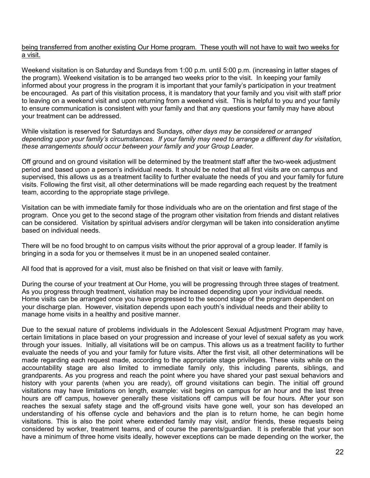#### being transferred from another existing Our Home program. These youth will not have to wait two weeks for a visit.

Weekend visitation is on Saturday and Sundays from 1:00 p.m. until 5:00 p.m. (increasing in latter stages of the program). Weekend visitation is to be arranged two weeks prior to the visit. In keeping your family informed about your progress in the program it is important that your family's participation in your treatment be encouraged. As part of this visitation process, it is mandatory that your family and you visit with staff prior to leaving on a weekend visit and upon returning from a weekend visit. This is helpful to you and your family to ensure communication is consistent with your family and that any questions your family may have about your treatment can be addressed.

While visitation is reserved for Saturdays and Sundays, *other days may be considered or arranged depending upon your family's circumstances. If your family may need to arrange a different day for visitation, these arrangements should occur between your family and your Group Leader.*

Off ground and on ground visitation will be determined by the treatment staff after the two-week adjustment period and based upon a person's individual needs. It should be noted that all first visits are on campus and supervised, this allows us as a treatment facility to further evaluate the needs of you and your family for future visits. Following the first visit, all other determinations will be made regarding each request by the treatment team, according to the appropriate stage privilege.

Visitation can be with immediate family for those individuals who are on the orientation and first stage of the program. Once you get to the second stage of the program other visitation from friends and distant relatives can be considered. Visitation by spiritual advisers and/or clergyman will be taken into consideration anytime based on individual needs.

There will be no food brought to on campus visits without the prior approval of a group leader. If family is bringing in a soda for you or themselves it must be in an unopened sealed container.

All food that is approved for a visit, must also be finished on that visit or leave with family.

During the course of your treatment at Our Home, you will be progressing through three stages of treatment. As you progress through treatment, visitation may be increased depending upon your individual needs. Home visits can be arranged once you have progressed to the second stage of the program dependent on your discharge plan. However, visitation depends upon each youth's individual needs and their ability to manage home visits in a healthy and positive manner.

Due to the sexual nature of problems individuals in the Adolescent Sexual Adjustment Program may have, certain limitations in place based on your progression and increase of your level of sexual safety as you work through your issues. Initially, all visitations will be on campus. This allows us as a treatment facility to further evaluate the needs of you and your family for future visits. After the first visit, all other determinations will be made regarding each request made, according to the appropriate stage privileges. These visits while on the accountability stage are also limited to immediate family only, this including parents, siblings, and grandparents. As you progress and reach the point where you have shared your past sexual behaviors and history with your parents (when you are ready), off ground visitations can begin. The initial off ground visitations may have limitations on length, example: visit begins on campus for an hour and the last three hours are off campus, however generally these visitations off campus will be four hours. After your son reaches the sexual safety stage and the off-ground visits have gone well, your son has developed an understanding of his offense cycle and behaviors and the plan is to return home, he can begin home visitations. This is also the point where extended family may visit, and/or friends, these requests being considered by worker, treatment teams, and of course the parents/guardian. It is preferable that your son have a minimum of three home visits ideally, however exceptions can be made depending on the worker, the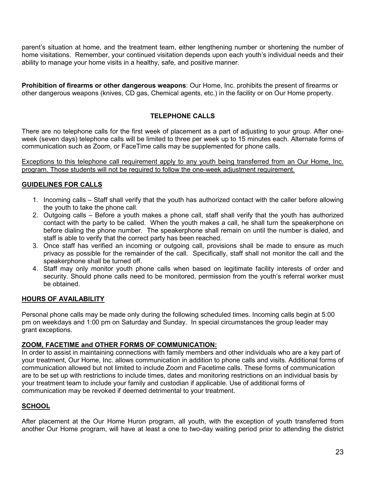parent's situation at home, and the treatment team, either lengthening number or shortening the number of home visitations. Remember, your continued visitation depends upon each youth's individual needs and their ability to manage your home visits in a healthy, safe, and positive manner.

**Prohibition of firearms or other dangerous weapons**: Our Home, Inc. prohibits the present of firearms or other dangerous weapons (knives, CD gas, Chemical agents, etc.) in the facility or on Our Home property.

# **TELEPHONE CALLS**

There are no telephone calls for the first week of placement as a part of adjusting to your group. After oneweek (seven days) telephone calls will be limited to three per week up to 15 minutes each. Alternate forms of communication such as Zoom, or FaceTime calls may be supplemented for phone calls.

Exceptions to this telephone call requirement apply to any youth being transferred from an Our Home, Inc. program. Those students will not be required to follow the one-week adjustment requirement.

# **GUIDELINES FOR CALLS**

- 1. Incoming calls Staff shall verify that the youth has authorized contact with the caller before allowing the youth to take the phone call.
- 2. Outgoing calls Before a youth makes a phone call, staff shall verify that the youth has authorized contact with the party to be called. When the youth makes a call, he shall turn the speakerphone on before dialing the phone number. The speakerphone shall remain on until the number is dialed, and staff is able to verify that the correct party has been reached.
- 3. Once staff has verified an incoming or outgoing call, provisions shall be made to ensure as much privacy as possible for the remainder of the call. Specifically, staff shall not monitor the call and the speakerphone shall be turned off.
- 4. Staff may only monitor youth phone calls when based on legitimate facility interests of order and security. Should phone calls need to be monitored, permission from the youth's referral worker must be obtained.

#### **HOURS OF AVAILABILITY**

Personal phone calls may be made only during the following scheduled times. Incoming calls begin at 5:00 pm on weekdays and 1:00 pm on Saturday and Sunday. In special circumstances the group leader may grant exceptions.

#### **ZOOM, FACETIME and OTHER FORMS OF COMMUNICATION:**

In order to assist in maintaining connections with family members and other individuals who are a key part of your treatment, Our Home, Inc. allows communication in addition to phone calls and visits. Additional forms of communication allowed but not limited to include Zoom and Facetime calls. These forms of communication are to be set up with restrictions to include times, dates and monitoring restrictions on an individual basis by your treatment team to include your family and custodian if applicable. Use of additional forms of communication may be revoked if deemed detrimental to your treatment.

# **SCHOOL**

After placement at the Our Home Huron program, all youth, with the exception of youth transferred from another Our Home program, will have at least a one to two-day waiting period prior to attending the district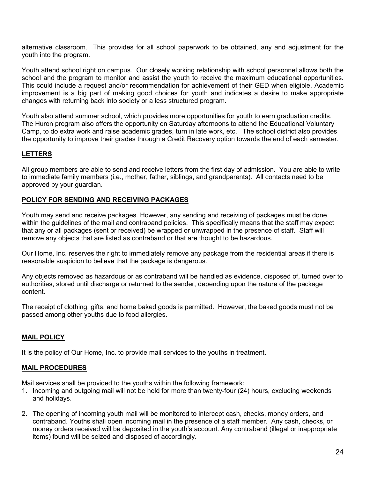alternative classroom. This provides for all school paperwork to be obtained, any and adjustment for the youth into the program.

Youth attend school right on campus. Our closely working relationship with school personnel allows both the school and the program to monitor and assist the youth to receive the maximum educational opportunities. This could include a request and/or recommendation for achievement of their GED when eligible. Academic improvement is a big part of making good choices for youth and indicates a desire to make appropriate changes with returning back into society or a less structured program.

Youth also attend summer school, which provides more opportunities for youth to earn graduation credits. The Huron program also offers the opportunity on Saturday afternoons to attend the Educational Voluntary Camp, to do extra work and raise academic grades, turn in late work, etc. The school district also provides the opportunity to improve their grades through a Credit Recovery option towards the end of each semester.

# **LETTERS**

All group members are able to send and receive letters from the first day of admission. You are able to write to immediate family members (i.e., mother, father, siblings, and grandparents). All contacts need to be approved by your guardian.

#### **POLICY FOR SENDING AND RECEIVING PACKAGES**

Youth may send and receive packages. However, any sending and receiving of packages must be done within the quidelines of the mail and contraband policies. This specifically means that the staff may expect that any or all packages (sent or received) be wrapped or unwrapped in the presence of staff. Staff will remove any objects that are listed as contraband or that are thought to be hazardous.

Our Home, Inc. reserves the right to immediately remove any package from the residential areas if there is reasonable suspicion to believe that the package is dangerous.

Any objects removed as hazardous or as contraband will be handled as evidence, disposed of, turned over to authorities, stored until discharge or returned to the sender, depending upon the nature of the package content.

The receipt of clothing, gifts, and home baked goods is permitted. However, the baked goods must not be passed among other youths due to food allergies.

#### **MAIL POLICY**

It is the policy of Our Home, Inc. to provide mail services to the youths in treatment.

#### **MAIL PROCEDURES**

Mail services shall be provided to the youths within the following framework:

- 1. Incoming and outgoing mail will not be held for more than twenty-four (24) hours, excluding weekends and holidays.
- 2. The opening of incoming youth mail will be monitored to intercept cash, checks, money orders, and contraband. Youths shall open incoming mail in the presence of a staff member. Any cash, checks, or money orders received will be deposited in the youth's account. Any contraband (illegal or inappropriate items) found will be seized and disposed of accordingly.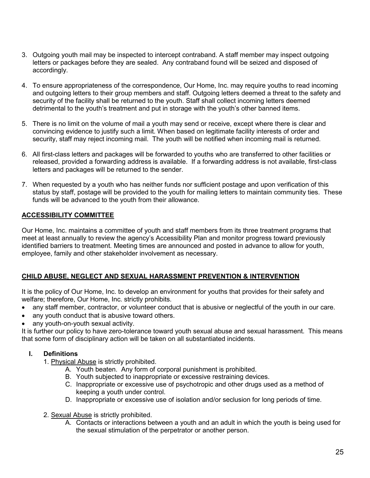- 3. Outgoing youth mail may be inspected to intercept contraband. A staff member may inspect outgoing letters or packages before they are sealed. Any contraband found will be seized and disposed of accordingly.
- 4. To ensure appropriateness of the correspondence, Our Home, Inc. may require youths to read incoming and outgoing letters to their group members and staff. Outgoing letters deemed a threat to the safety and security of the facility shall be returned to the youth. Staff shall collect incoming letters deemed detrimental to the youth's treatment and put in storage with the youth's other banned items.
- 5. There is no limit on the volume of mail a youth may send or receive, except where there is clear and convincing evidence to justify such a limit. When based on legitimate facility interests of order and security, staff may reject incoming mail. The youth will be notified when incoming mail is returned.
- 6. All first-class letters and packages will be forwarded to youths who are transferred to other facilities or released, provided a forwarding address is available. If a forwarding address is not available, first-class letters and packages will be returned to the sender.
- 7. When requested by a youth who has neither funds nor sufficient postage and upon verification of this status by staff, postage will be provided to the youth for mailing letters to maintain community ties. These funds will be advanced to the youth from their allowance.

# **ACCESSIBILITY COMMITTEE**

Our Home, Inc. maintains a committee of youth and staff members from its three treatment programs that meet at least annually to review the agency's Accessibility Plan and monitor progress toward previously identified barriers to treatment. Meeting times are announced and posted in advance to allow for youth, employee, family and other stakeholder involvement as necessary.

# **CHILD ABUSE, NEGLECT AND SEXUAL HARASSMENT PREVENTION & INTERVENTION**

It is the policy of Our Home, Inc. to develop an environment for youths that provides for their safety and welfare; therefore, Our Home, Inc. strictly prohibits.

- any staff member, contractor, or volunteer conduct that is abusive or neglectful of the youth in our care.
- any youth conduct that is abusive toward others.
- any youth-on-youth sexual activity.

It is further our policy to have zero-tolerance toward youth sexual abuse and sexual harassment. This means that some form of disciplinary action will be taken on all substantiated incidents.

# **I. Definitions**

- 1. Physical Abuse is strictly prohibited.
	- A. Youth beaten. Any form of corporal punishment is prohibited.
	- B. Youth subjected to inappropriate or excessive restraining devices.
	- C. Inappropriate or excessive use of psychotropic and other drugs used as a method of keeping a youth under control.
	- D. Inappropriate or excessive use of isolation and/or seclusion for long periods of time.
- 2. Sexual Abuse is strictly prohibited.
	- A. Contacts or interactions between a youth and an adult in which the youth is being used for the sexual stimulation of the perpetrator or another person.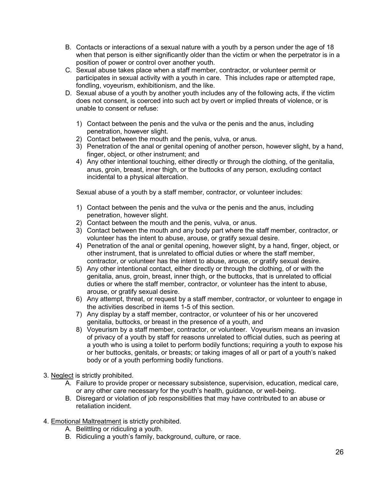- B. Contacts or interactions of a sexual nature with a youth by a person under the age of 18 when that person is either significantly older than the victim or when the perpetrator is in a position of power or control over another youth.
- C. Sexual abuse takes place when a staff member, contractor, or volunteer permit or participates in sexual activity with a youth in care. This includes rape or attempted rape, fondling, voyeurism, exhibitionism, and the like.
- D. Sexual abuse of a youth by another youth includes any of the following acts, if the victim does not consent, is coerced into such act by overt or implied threats of violence, or is unable to consent or refuse:
	- 1) Contact between the penis and the vulva or the penis and the anus, including penetration, however slight.
	- 2) Contact between the mouth and the penis, vulva, or anus.
	- 3) Penetration of the anal or genital opening of another person, however slight, by a hand, finger, object, or other instrument; and
	- 4) Any other intentional touching, either directly or through the clothing, of the genitalia, anus, groin, breast, inner thigh, or the buttocks of any person, excluding contact incidental to a physical altercation.

Sexual abuse of a youth by a staff member, contractor, or volunteer includes:

- 1) Contact between the penis and the vulva or the penis and the anus, including penetration, however slight.
- 2) Contact between the mouth and the penis, vulva, or anus.
- 3) Contact between the mouth and any body part where the staff member, contractor, or volunteer has the intent to abuse, arouse, or gratify sexual desire.
- 4) Penetration of the anal or genital opening, however slight, by a hand, finger, object, or other instrument, that is unrelated to official duties or where the staff member, contractor, or volunteer has the intent to abuse, arouse, or gratify sexual desire.
- 5) Any other intentional contact, either directly or through the clothing, of or with the genitalia, anus, groin, breast, inner thigh, or the buttocks, that is unrelated to official duties or where the staff member, contractor, or volunteer has the intent to abuse, arouse, or gratify sexual desire.
- 6) Any attempt, threat, or request by a staff member, contractor, or volunteer to engage in the activities described in items 1-5 of this section.
- 7) Any display by a staff member, contractor, or volunteer of his or her uncovered genitalia, buttocks, or breast in the presence of a youth, and
- 8) Voyeurism by a staff member, contractor, or volunteer. Voyeurism means an invasion of privacy of a youth by staff for reasons unrelated to official duties, such as peering at a youth who is using a toilet to perform bodily functions; requiring a youth to expose his or her buttocks, genitals, or breasts; or taking images of all or part of a youth's naked body or of a youth performing bodily functions.
- 3. Neglect is strictly prohibited.
	- A. Failure to provide proper or necessary subsistence, supervision, education, medical care, or any other care necessary for the youth's health, guidance, or well-being.
	- B. Disregard or violation of job responsibilities that may have contributed to an abuse or retaliation incident.
- 4. Emotional Maltreatment is strictly prohibited.
	- A. Belittling or ridiculing a youth.
	- B. Ridiculing a youth's family, background, culture, or race.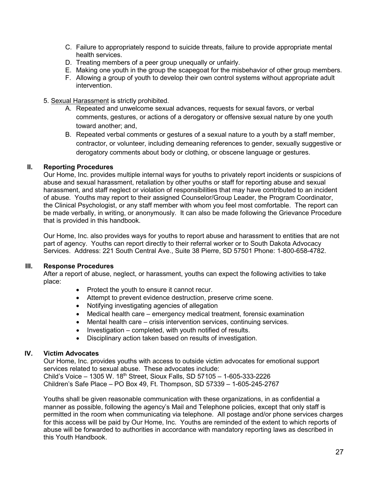- C. Failure to appropriately respond to suicide threats, failure to provide appropriate mental health services.
- D. Treating members of a peer group unequally or unfairly.
- E. Making one youth in the group the scapegoat for the misbehavior of other group members.
- F. Allowing a group of youth to develop their own control systems without appropriate adult intervention.
- 5. Sexual Harassment is strictly prohibited.
	- A. Repeated and unwelcome sexual advances, requests for sexual favors, or verbal comments, gestures, or actions of a derogatory or offensive sexual nature by one youth toward another; and,
	- B. Repeated verbal comments or gestures of a sexual nature to a youth by a staff member, contractor, or volunteer, including demeaning references to gender, sexually suggestive or derogatory comments about body or clothing, or obscene language or gestures.

# **II. Reporting Procedures**

Our Home, Inc. provides multiple internal ways for youths to privately report incidents or suspicions of abuse and sexual harassment, retaliation by other youths or staff for reporting abuse and sexual harassment, and staff neglect or violation of responsibilities that may have contributed to an incident of abuse. Youths may report to their assigned Counselor/Group Leader, the Program Coordinator, the Clinical Psychologist, or any staff member with whom you feel most comfortable. The report can be made verbally, in writing, or anonymously. It can also be made following the Grievance Procedure that is provided in this handbook.

Our Home, Inc. also provides ways for youths to report abuse and harassment to entities that are not part of agency. Youths can report directly to their referral worker or to South Dakota Advocacy Services. Address: 221 South Central Ave., Suite 38 Pierre, SD 57501 Phone: 1-800-658-4782.

# **III. Response Procedures**

After a report of abuse, neglect, or harassment, youths can expect the following activities to take place:

- Protect the youth to ensure it cannot recur.
- Attempt to prevent evidence destruction, preserve crime scene.
- Notifying investigating agencies of allegation
- Medical health care emergency medical treatment, forensic examination
- Mental health care crisis intervention services, continuing services.
- Investigation completed, with youth notified of results.
- Disciplinary action taken based on results of investigation.

# **IV. Victim Advocates**

Our Home, Inc. provides youths with access to outside victim advocates for emotional support services related to sexual abuse. These advocates include: Child's Voice – 1305 W. 18th Street, Sioux Falls, SD 57105 – 1-605-333-2226 Children's Safe Place – PO Box 49, Ft. Thompson, SD 57339 – 1-605-245-2767

Youths shall be given reasonable communication with these organizations, in as confidential a manner as possible, following the agency's Mail and Telephone policies, except that only staff is permitted in the room when communicating via telephone. All postage and/or phone services charges for this access will be paid by Our Home, Inc. Youths are reminded of the extent to which reports of abuse will be forwarded to authorities in accordance with mandatory reporting laws as described in this Youth Handbook.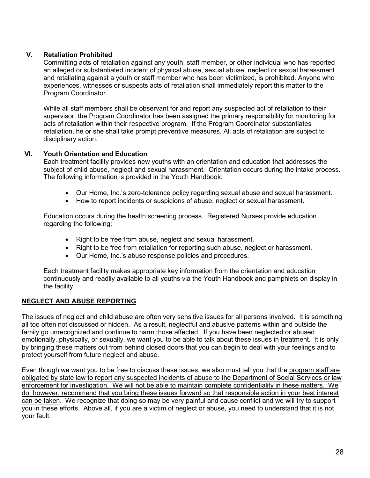# **V. Retaliation Prohibited**

Committing acts of retaliation against any youth, staff member, or other individual who has reported an alleged or substantiated incident of physical abuse, sexual abuse, neglect or sexual harassment and retaliating against a youth or staff member who has been victimized, is prohibited. Anyone who experiences, witnesses or suspects acts of retaliation shall immediately report this matter to the Program Coordinator.

While all staff members shall be observant for and report any suspected act of retaliation to their supervisor, the Program Coordinator has been assigned the primary responsibility for monitoring for acts of retaliation within their respective program. If the Program Coordinator substantiates retaliation, he or she shall take prompt preventive measures. All acts of retaliation are subject to disciplinary action.

# **VI. Youth Orientation and Education**

Each treatment facility provides new youths with an orientation and education that addresses the subject of child abuse, neglect and sexual harassment. Orientation occurs during the intake process. The following information is provided in the Youth Handbook:

- Our Home, Inc.'s zero-tolerance policy regarding sexual abuse and sexual harassment.
- How to report incidents or suspicions of abuse, neglect or sexual harassment.

Education occurs during the health screening process. Registered Nurses provide education regarding the following:

- Right to be free from abuse, neglect and sexual harassment.
- Right to be free from retaliation for reporting such abuse, neglect or harassment.
- Our Home, Inc.'s abuse response policies and procedures.

Each treatment facility makes appropriate key information from the orientation and education continuously and readily available to all youths via the Youth Handbook and pamphlets on display in the facility.

# **NEGLECT AND ABUSE REPORTING**

The issues of neglect and child abuse are often very sensitive issues for all persons involved. It is something all too often not discussed or hidden. As a result, neglectful and abusive patterns within and outside the family go unrecognized and continue to harm those affected. If you have been neglected or abused emotionally, physically, or sexually, we want you to be able to talk about these issues in treatment. It is only by bringing these matters out from behind closed doors that you can begin to deal with your feelings and to protect yourself from future neglect and abuse.

Even though we want you to be free to discuss these issues, we also must tell you that the program staff are obligated by state law to report any suspected incidents of abuse to the Department of Social Services or law enforcement for investigation. We will not be able to maintain complete confidentiality in these matters. We do, however, recommend that you bring these issues forward so that responsible action in your best interest can be taken. We recognize that doing so may be very painful and cause conflict and we will try to support you in these efforts. Above all, if you are a victim of neglect or abuse, you need to understand that it is not your fault.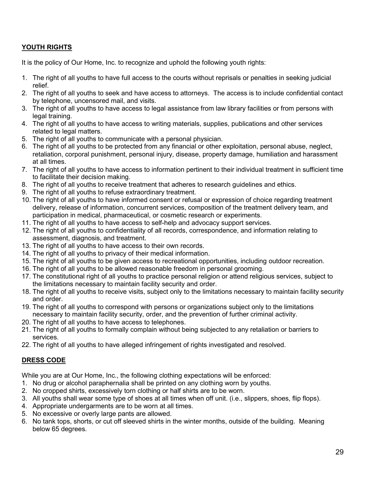# **YOUTH RIGHTS**

It is the policy of Our Home, Inc. to recognize and uphold the following youth rights:

- 1. The right of all youths to have full access to the courts without reprisals or penalties in seeking judicial relief.
- 2. The right of all youths to seek and have access to attorneys. The access is to include confidential contact by telephone, uncensored mail, and visits.
- 3. The right of all youths to have access to legal assistance from law library facilities or from persons with legal training.
- 4. The right of all youths to have access to writing materials, supplies, publications and other services related to legal matters.
- 5. The right of all youths to communicate with a personal physician.
- 6. The right of all youths to be protected from any financial or other exploitation, personal abuse, neglect, retaliation, corporal punishment, personal injury, disease, property damage, humiliation and harassment at all times.
- 7. The right of all youths to have access to information pertinent to their individual treatment in sufficient time to facilitate their decision making.
- 8. The right of all youths to receive treatment that adheres to research guidelines and ethics.
- 9. The right of all youths to refuse extraordinary treatment.
- 10. The right of all youths to have informed consent or refusal or expression of choice regarding treatment delivery, release of information, concurrent services, composition of the treatment delivery team, and participation in medical, pharmaceutical, or cosmetic research or experiments.
- 11. The right of all youths to have access to self-help and advocacy support services.
- 12. The right of all youths to confidentiality of all records, correspondence, and information relating to assessment, diagnosis, and treatment.
- 13. The right of all youths to have access to their own records.
- 14. The right of all youths to privacy of their medical information.
- 15. The right of all youths to be given access to recreational opportunities, including outdoor recreation.
- 16. The right of all youths to be allowed reasonable freedom in personal grooming.
- 17. The constitutional right of all youths to practice personal religion or attend religious services, subject to the limitations necessary to maintain facility security and order.
- 18. The right of all youths to receive visits, subject only to the limitations necessary to maintain facility security and order.
- 19. The right of all youths to correspond with persons or organizations subject only to the limitations necessary to maintain facility security, order, and the prevention of further criminal activity.
- 20. The right of all youths to have access to telephones.
- 21. The right of all youths to formally complain without being subjected to any retaliation or barriers to services.
- 22. The right of all youths to have alleged infringement of rights investigated and resolved.

# **DRESS CODE**

While you are at Our Home, Inc., the following clothing expectations will be enforced:

- 1. No drug or alcohol paraphernalia shall be printed on any clothing worn by youths.
- 2. No cropped shirts, excessively torn clothing or half shirts are to be worn.
- 3. All youths shall wear some type of shoes at all times when off unit. (i.e., slippers, shoes, flip flops).
- 4. Appropriate undergarments are to be worn at all times.
- 5. No excessive or overly large pants are allowed.
- 6. No tank tops, shorts, or cut off sleeved shirts in the winter months, outside of the building. Meaning below 65 degrees.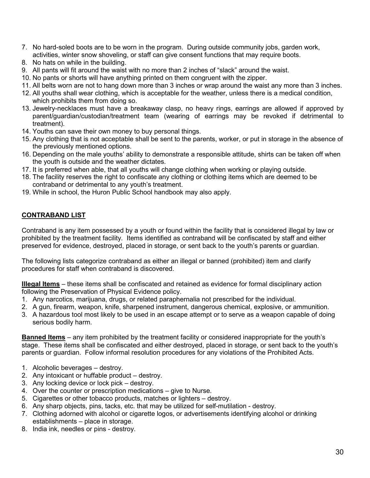- 7. No hard-soled boots are to be worn in the program. During outside community jobs, garden work, activities, winter snow shoveling, or staff can give consent functions that may require boots.
- 8. No hats on while in the building.
- 9. All pants will fit around the waist with no more than 2 inches of "slack" around the waist.
- 10. No pants or shorts will have anything printed on them congruent with the zipper.
- 11. All belts worn are not to hang down more than 3 inches or wrap around the waist any more than 3 inches.
- 12. All youths shall wear clothing, which is acceptable for the weather, unless there is a medical condition, which prohibits them from doing so.
- 13. Jewelry-necklaces must have a breakaway clasp, no heavy rings, earrings are allowed if approved by parent/guardian/custodian/treatment team (wearing of earrings may be revoked if detrimental to treatment).
- 14. Youths can save their own money to buy personal things.
- 15. Any clothing that is not acceptable shall be sent to the parents, worker, or put in storage in the absence of the previously mentioned options.
- 16. Depending on the male youths' ability to demonstrate a responsible attitude, shirts can be taken off when the youth is outside and the weather dictates.
- 17. It is preferred when able, that all youths will change clothing when working or playing outside.
- 18. The facility reserves the right to confiscate any clothing or clothing items which are deemed to be contraband or detrimental to any youth's treatment.
- 19. While in school, the Huron Public School handbook may also apply.

# **CONTRABAND LIST**

Contraband is any item possessed by a youth or found within the facility that is considered illegal by law or prohibited by the treatment facility. Items identified as contraband will be confiscated by staff and either preserved for evidence, destroyed, placed in storage, or sent back to the youth's parents or guardian.

The following lists categorize contraband as either an illegal or banned (prohibited) item and clarify procedures for staff when contraband is discovered.

**Illegal Items** – these items shall be confiscated and retained as evidence for formal disciplinary action following the Preservation of Physical Evidence policy.

- 1. Any narcotics, marijuana, drugs, or related paraphernalia not prescribed for the individual.
- 2. A gun, firearm, weapon, knife, sharpened instrument, dangerous chemical, explosive, or ammunition.
- 3. A hazardous tool most likely to be used in an escape attempt or to serve as a weapon capable of doing serious bodily harm.

**Banned Items** – any item prohibited by the treatment facility or considered inappropriate for the youth's stage. These items shall be confiscated and either destroyed, placed in storage, or sent back to the youth's parents or guardian. Follow informal resolution procedures for any violations of the Prohibited Acts.

- 1. Alcoholic beverages destroy.
- 2. Any intoxicant or huffable product destroy.
- 3. Any locking device or lock pick destroy.
- 4. Over the counter or prescription medications give to Nurse.
- 5. Cigarettes or other tobacco products, matches or lighters destroy.
- 6. Any sharp objects, pins, tacks, etc. that may be utilized for self-mutilation destroy.
- 7. Clothing adorned with alcohol or cigarette logos, or advertisements identifying alcohol or drinking establishments – place in storage.
- 8. India ink, needles or pins destroy.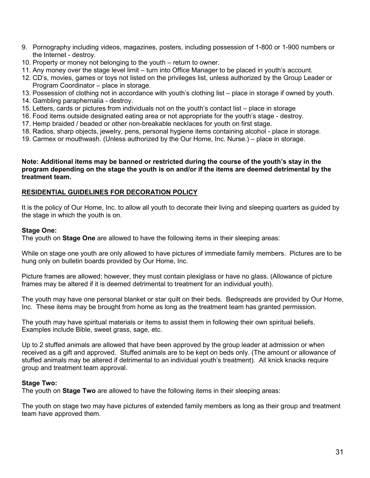- 9. Pornography including videos, magazines, posters, including possession of 1-800 or 1-900 numbers or the Internet - destroy.
- 10. Property or money not belonging to the youth return to owner.
- 11. Any money over the stage level limit turn into Office Manager to be placed in youth's account.
- 12. CD's, movies, games or toys not listed on the privileges list, unless authorized by the Group Leader or Program Coordinator – place in storage.
- 13. Possession of clothing not in accordance with youth's clothing list place in storage if owned by youth.
- 14. Gambling paraphernalia destroy.
- 15. Letters, cards or pictures from individuals not on the youth's contact list place in storage
- 16. Food items outside designated eating area or not appropriate for the youth's stage destroy.
- 17. Hemp braided / beaded or other non-breakable necklaces for youth on first stage.
- 18. Radios, sharp objects, jewelry, pens, personal hygiene items containing alcohol place in storage.
- 19. Carmex or mouthwash. (Unless authorized by the Our Home, Inc. Nurse.) place in storage.

#### **Note: Additional items may be banned or restricted during the course of the youth's stay in the program depending on the stage the youth is on and/or if the items are deemed detrimental by the treatment team.**

#### **RESIDENTIAL GUIDELINES FOR DECORATION POLICY**

It is the policy of Our Home, Inc. to allow all youth to decorate their living and sleeping quarters as guided by the stage in which the youth is on.

#### **Stage One:**

The youth on **Stage One** are allowed to have the following items in their sleeping areas:

While on stage one youth are only allowed to have pictures of immediate family members. Pictures are to be hung only on bulletin boards provided by Our Home, Inc.

Picture frames are allowed; however, they must contain plexiglass or have no glass. (Allowance of picture frames may be altered if it is deemed detrimental to treatment for an individual youth).

The youth may have one personal blanket or star quilt on their beds. Bedspreads are provided by Our Home, Inc. These items may be brought from home as long as the treatment team has granted permission.

The youth may have spiritual materials or items to assist them in following their own spiritual beliefs. Examples include Bible, sweet grass, sage, etc.

Up to 2 stuffed animals are allowed that have been approved by the group leader at admission or when received as a gift and approved. Stuffed animals are to be kept on beds only. (The amount or allowance of stuffed animals may be altered if detrimental to an individual youth's treatment). All knick knacks require group and treatment team approval.

#### **Stage Two:**

The youth on **Stage Two** are allowed to have the following items in their sleeping areas:

The youth on stage two may have pictures of extended family members as long as their group and treatment team have approved them.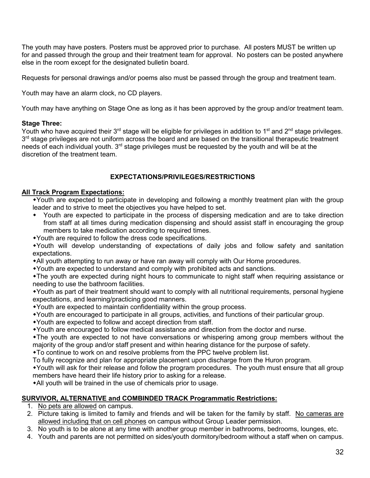The youth may have posters. Posters must be approved prior to purchase. All posters MUST be written up for and passed through the group and their treatment team for approval. No posters can be posted anywhere else in the room except for the designated bulletin board.

Requests for personal drawings and/or poems also must be passed through the group and treatment team.

Youth may have an alarm clock, no CD players.

Youth may have anything on Stage One as long as it has been approved by the group and/or treatment team.

#### **Stage Three:**

Youth who have acquired their 3<sup>rd</sup> stage will be eligible for privileges in addition to 1<sup>st</sup> and 2<sup>nd</sup> stage privileges. 3<sup>rd</sup> stage privileges are not uniform across the board and are based on the transitional therapeutic treatment needs of each individual youth. 3<sup>rd</sup> stage privileges must be requested by the youth and will be at the discretion of the treatment team.

#### **EXPECTATIONS/PRIVILEGES/RESTRICTIONS**

#### **All Track Program Expectations:**

Youth are expected to participate in developing and following a monthly treatment plan with the group leader and to strive to meet the objectives you have helped to set.

- Youth are expected to participate in the process of dispersing medication and are to take direction from staff at all times during medication dispensing and should assist staff in encouraging the group members to take medication according to required times.
- Youth are required to follow the dress code specifications.

Youth will develop understanding of expectations of daily jobs and follow safety and sanitation expectations.

• All youth attempting to run away or have ran away will comply with Our Home procedures.

Youth are expected to understand and comply with prohibited acts and sanctions.

The youth are expected during night hours to communicate to night staff when requiring assistance or needing to use the bathroom facilities.

Youth as part of their treatment should want to comply with all nutritional requirements, personal hygiene expectations, and learning/practicing good manners.

- Youth are expected to maintain confidentiality within the group process.
- Youth are encouraged to participate in all groups, activities, and functions of their particular group.
- Youth are expected to follow and accept direction from staff.
- Youth are encouraged to follow medical assistance and direction from the doctor and nurse.

The youth are expected to not have conversations or whispering among group members without the majority of the group and/or staff present and within hearing distance for the purpose of safety.

To continue to work on and resolve problems from the PPC twelve problem list.

To fully recognize and plan for appropriate placement upon discharge from the Huron program.

Youth will ask for their release and follow the program procedures. The youth must ensure that all group members have heard their life history prior to asking for a release.

All youth will be trained in the use of chemicals prior to usage.

#### **SURVIVOR, ALTERNATIVE and COMBINDED TRACK Programmatic Restrictions:**

- 1. No pets are allowed on campus.
- 2. Picture taking is limited to family and friends and will be taken for the family by staff. No cameras are allowed including that on cell phones on campus without Group Leader permission.
- 3. No youth is to be alone at any time with another group member in bathrooms, bedrooms, lounges, etc.
- 4. Youth and parents are not permitted on sides/youth dormitory/bedroom without a staff when on campus.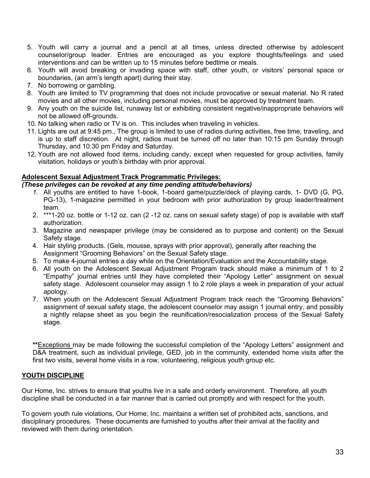- 5. Youth will carry a journal and a pencil at all times, unless directed otherwise by adolescent counselor/group leader. Entries are encouraged as you explore thoughts/feelings and used interventions and can be written up to 15 minutes before bedtime or meals.
- 6. Youth will avoid breaking or invading space with staff, other youth, or visitors' personal space or boundaries, (an arm's length apart) during their stay.
- 7. No borrowing or gambling.
- 8. Youth are limited to TV programming that does not include provocative or sexual material. No R rated movies and all other movies, including personal movies, must be approved by treatment team.
- 9. Any youth on the suicide list, runaway list or exhibiting consistent negative/inappropriate behaviors will not be allowed off-grounds.
- 10. No talking when radio or TV is on. This includes when traveling in vehicles.
- 11. Lights are out at 9:45 pm., The group is limited to use of radios during activities, free time, traveling, and is up to staff discretion. At night, radios must be turned off no later than 10:15 pm Sunday through Thursday, and 10:30 pm Friday and Saturday.
- 12. Youth are not allowed food items, including candy, except when requested for group activities, family visitation, holidays or youth's birthday with prior approval.

#### **Adolescent Sexual Adjustment Track Programmatic Privileges:**

#### *(These privileges can be revoked at any time pending attitude/behaviors)*

- *1.* All youths are entitled to have 1-book, 1-board game/puzzle/deck of playing cards, 1- DVD (G, PG, PG-13), 1-magazine permitted in your bedroom with prior authorization by group leader/treatment team.
- 2. \*\*\*1-20 oz. bottle or 1-12 oz. can (2 -12 oz. cans on sexual safety stage) of pop is available with staff authorization.
- 3. Magazine and newspaper privilege (may be considered as to purpose and content) on the Sexual Safety stage.
- 4. Hair styling products. (Gels, mousse, sprays with prior approval), generally after reaching the Assignment "Grooming Behaviors" on the Sexual Safety stage.
- 5. To make 4-journal entries a day while on the Orientation/Evaluation and the Accountability stage.
- 6. All youth on the Adolescent Sexual Adjustment Program track should make a minimum of 1 to 2 "Empathy" journal entries until they have completed their "Apology Letter" assignment on sexual safety stage. Adolescent counselor may assign 1 to 2 role plays a week in preparation of your actual apology.
- 7. When youth on the Adolescent Sexual Adjustment Program track reach the "Grooming Behaviors" assignment of sexual safety stage, the adolescent counselor may assign 1 journal entry, and possibly a nightly relapse sheet as you begin the reunification/resocialization process of the Sexual Safety stage.

**\*\***Exceptions may be made following the successful completion of the "Apology Letters" assignment and D&A treatment, such as individual privilege, GED, job in the community, extended home visits after the first two visits, several home visits in a row, volunteering, religious youth group etc.

#### **YOUTH DISCIPLINE**

Our Home, Inc. strives to ensure that youths live in a safe and orderly environment. Therefore, all youth discipline shall be conducted in a fair manner that is carried out promptly and with respect for the youth.

To govern youth rule violations, Our Home, Inc. maintains a written set of prohibited acts, sanctions, and disciplinary procedures. These documents are furnished to youths after their arrival at the facility and reviewed with them during orientation.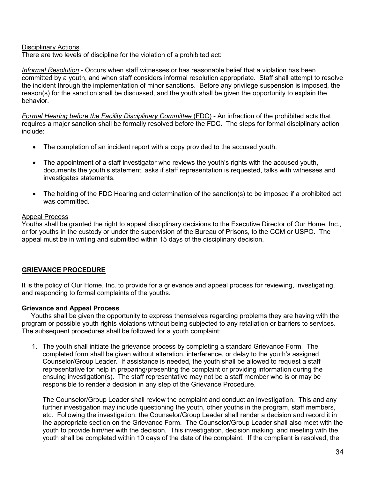#### Disciplinary Actions

There are two levels of discipline for the violation of a prohibited act:

*Informal Resolution* - Occurs when staff witnesses or has reasonable belief that a violation has been committed by a youth, and when staff considers informal resolution appropriate. Staff shall attempt to resolve the incident through the implementation of minor sanctions. Before any privilege suspension is imposed, the reason(s) for the sanction shall be discussed, and the youth shall be given the opportunity to explain the behavior.

*Formal Hearing before the Facility Disciplinary Committee (FDC) - An infraction of the prohibited acts that* requires a major sanction shall be formally resolved before the FDC. The steps for formal disciplinary action include:

- The completion of an incident report with a copy provided to the accused youth.
- The appointment of a staff investigator who reviews the youth's rights with the accused youth, documents the youth's statement, asks if staff representation is requested, talks with witnesses and investigates statements.
- The holding of the FDC Hearing and determination of the sanction(s) to be imposed if a prohibited act was committed.

#### Appeal Process

Youths shall be granted the right to appeal disciplinary decisions to the Executive Director of Our Home, Inc., or for youths in the custody or under the supervision of the Bureau of Prisons, to the CCM or USPO. The appeal must be in writing and submitted within 15 days of the disciplinary decision.

#### **GRIEVANCE PROCEDURE**

It is the policy of Our Home, Inc. to provide for a grievance and appeal process for reviewing, investigating, and responding to formal complaints of the youths.

#### **Grievance and Appeal Process**

 Youths shall be given the opportunity to express themselves regarding problems they are having with the program or possible youth rights violations without being subjected to any retaliation or barriers to services. The subsequent procedures shall be followed for a youth complaint:

1. The youth shall initiate the grievance process by completing a standard Grievance Form. The completed form shall be given without alteration, interference, or delay to the youth's assigned Counselor/Group Leader. If assistance is needed, the youth shall be allowed to request a staff representative for help in preparing/presenting the complaint or providing information during the ensuing investigation(s). The staff representative may not be a staff member who is or may be responsible to render a decision in any step of the Grievance Procedure.

The Counselor/Group Leader shall review the complaint and conduct an investigation. This and any further investigation may include questioning the youth, other youths in the program, staff members, etc. Following the investigation, the Counselor/Group Leader shall render a decision and record it in the appropriate section on the Grievance Form. The Counselor/Group Leader shall also meet with the youth to provide him/her with the decision. This investigation, decision making, and meeting with the youth shall be completed within 10 days of the date of the complaint. If the compliant is resolved, the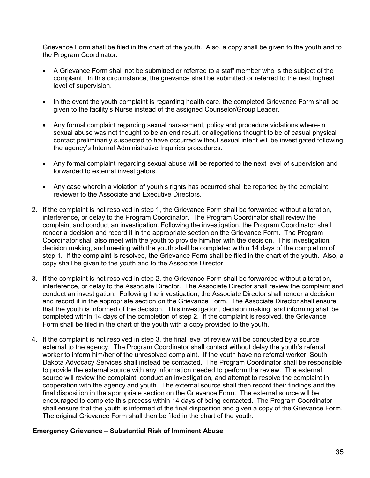Grievance Form shall be filed in the chart of the youth. Also, a copy shall be given to the youth and to the Program Coordinator.

- A Grievance Form shall not be submitted or referred to a staff member who is the subject of the complaint. In this circumstance, the grievance shall be submitted or referred to the next highest level of supervision.
- In the event the youth complaint is regarding health care, the completed Grievance Form shall be given to the facility's Nurse instead of the assigned Counselor/Group Leader.
- Any formal complaint regarding sexual harassment, policy and procedure violations where-in sexual abuse was not thought to be an end result, or allegations thought to be of casual physical contact preliminarily suspected to have occurred without sexual intent will be investigated following the agency's Internal Administrative Inquiries procedures.
- Any formal complaint regarding sexual abuse will be reported to the next level of supervision and forwarded to external investigators.
- Any case wherein a violation of youth's rights has occurred shall be reported by the complaint reviewer to the Associate and Executive Directors.
- 2. If the complaint is not resolved in step 1, the Grievance Form shall be forwarded without alteration, interference, or delay to the Program Coordinator. The Program Coordinator shall review the complaint and conduct an investigation. Following the investigation, the Program Coordinator shall render a decision and record it in the appropriate section on the Grievance Form. The Program Coordinator shall also meet with the youth to provide him/her with the decision. This investigation, decision making, and meeting with the youth shall be completed within 14 days of the completion of step 1. If the complaint is resolved, the Grievance Form shall be filed in the chart of the youth. Also, a copy shall be given to the youth and to the Associate Director.
- 3. If the complaint is not resolved in step 2, the Grievance Form shall be forwarded without alteration, interference, or delay to the Associate Director. The Associate Director shall review the complaint and conduct an investigation. Following the investigation, the Associate Director shall render a decision and record it in the appropriate section on the Grievance Form. The Associate Director shall ensure that the youth is informed of the decision. This investigation, decision making, and informing shall be completed within 14 days of the completion of step 2. If the complaint is resolved, the Grievance Form shall be filed in the chart of the youth with a copy provided to the youth.
- 4. If the complaint is not resolved in step 3, the final level of review will be conducted by a source external to the agency. The Program Coordinator shall contact without delay the youth's referral worker to inform him/her of the unresolved complaint. If the youth have no referral worker, South Dakota Advocacy Services shall instead be contacted. The Program Coordinator shall be responsible to provide the external source with any information needed to perform the review. The external source will review the complaint, conduct an investigation, and attempt to resolve the complaint in cooperation with the agency and youth. The external source shall then record their findings and the final disposition in the appropriate section on the Grievance Form. The external source will be encouraged to complete this process within 14 days of being contacted. The Program Coordinator shall ensure that the youth is informed of the final disposition and given a copy of the Grievance Form. The original Grievance Form shall then be filed in the chart of the youth.

#### **Emergency Grievance – Substantial Risk of Imminent Abuse**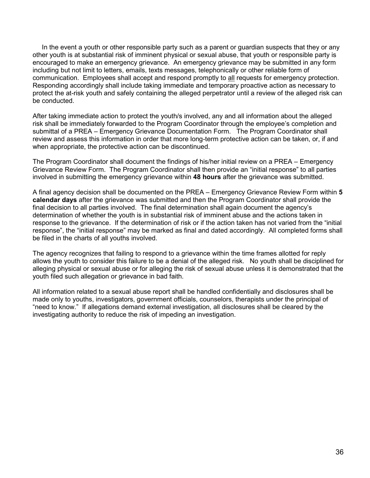In the event a youth or other responsible party such as a parent or guardian suspects that they or any other youth is at substantial risk of imminent physical or sexual abuse, that youth or responsible party is encouraged to make an emergency grievance. An emergency grievance may be submitted in any form including but not limit to letters, emails, texts messages, telephonically or other reliable form of communication. Employees shall accept and respond promptly to all requests for emergency protection. Responding accordingly shall include taking immediate and temporary proactive action as necessary to protect the at-risk youth and safely containing the alleged perpetrator until a review of the alleged risk can be conducted.

After taking immediate action to protect the youth/s involved, any and all information about the alleged risk shall be immediately forwarded to the Program Coordinator through the employee's completion and submittal of a PREA – Emergency Grievance Documentation Form. The Program Coordinator shall review and assess this information in order that more long-term protective action can be taken, or, if and when appropriate, the protective action can be discontinued.

The Program Coordinator shall document the findings of his/her initial review on a PREA – Emergency Grievance Review Form. The Program Coordinator shall then provide an "initial response" to all parties involved in submitting the emergency grievance within **48 hours** after the grievance was submitted.

A final agency decision shall be documented on the PREA – Emergency Grievance Review Form within **5 calendar days** after the grievance was submitted and then the Program Coordinator shall provide the final decision to all parties involved. The final determination shall again document the agency's determination of whether the youth is in substantial risk of imminent abuse and the actions taken in response to the grievance. If the determination of risk or if the action taken has not varied from the "initial response", the "initial response" may be marked as final and dated accordingly. All completed forms shall be filed in the charts of all youths involved.

The agency recognizes that failing to respond to a grievance within the time frames allotted for reply allows the youth to consider this failure to be a denial of the alleged risk. No youth shall be disciplined for alleging physical or sexual abuse or for alleging the risk of sexual abuse unless it is demonstrated that the youth filed such allegation or grievance in bad faith.

All information related to a sexual abuse report shall be handled confidentially and disclosures shall be made only to youths, investigators, government officials, counselors, therapists under the principal of "need to know." If allegations demand external investigation, all disclosures shall be cleared by the investigating authority to reduce the risk of impeding an investigation.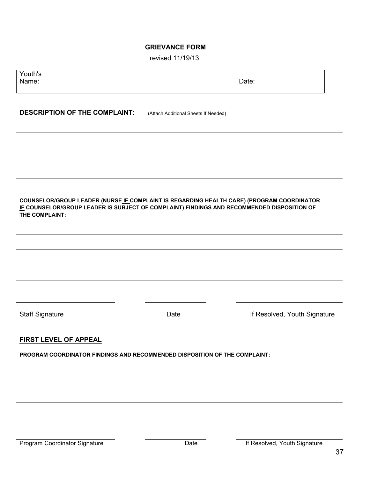# **GRIEVANCE FORM**

| revised 11/19/13 |  |  |  |
|------------------|--|--|--|
|------------------|--|--|--|

| Youth's<br>Name:                     |                                                                                                                                                                                         | Date:                        |
|--------------------------------------|-----------------------------------------------------------------------------------------------------------------------------------------------------------------------------------------|------------------------------|
| <b>DESCRIPTION OF THE COMPLAINT:</b> | (Attach Additional Sheets If Needed)                                                                                                                                                    |                              |
|                                      |                                                                                                                                                                                         |                              |
|                                      |                                                                                                                                                                                         |                              |
| THE COMPLAINT:                       | COUNSELOR/GROUP LEADER (NURSE IF COMPLAINT IS REGARDING HEALTH CARE) (PROGRAM COORDINATOR<br>IF COUNSELOR/GROUP LEADER IS SUBJECT OF COMPLAINT) FINDINGS AND RECOMMENDED DISPOSITION OF |                              |
|                                      |                                                                                                                                                                                         |                              |
|                                      |                                                                                                                                                                                         |                              |
| <b>Staff Signature</b>               | Date                                                                                                                                                                                    | If Resolved, Youth Signature |
| <b>FIRST LEVEL OF APPEAL</b>         |                                                                                                                                                                                         |                              |
|                                      | PROGRAM COORDINATOR FINDINGS AND RECOMMENDED DISPOSITION OF THE COMPLAINT:                                                                                                              |                              |
|                                      |                                                                                                                                                                                         |                              |
|                                      |                                                                                                                                                                                         |                              |
|                                      |                                                                                                                                                                                         |                              |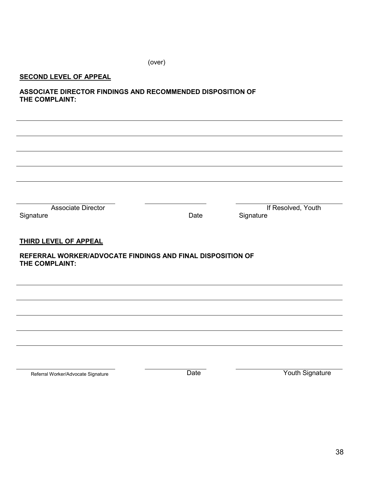(over)

# **SECOND LEVEL OF APPEAL**

j.

**ASSOCIATE DIRECTOR FINDINGS AND RECOMMENDED DISPOSITION OF THE COMPLAINT:**

| <b>Associate Director</b><br>Signature                     | Date | If Resolved, Youth<br>Signature |  |
|------------------------------------------------------------|------|---------------------------------|--|
|                                                            |      |                                 |  |
| THIRD LEVEL OF APPEAL                                      |      |                                 |  |
| REFERRAL WORKER/ADVOCATE FINDINGS AND FINAL DISPOSITION OF |      |                                 |  |
| THE COMPLAINT:                                             |      |                                 |  |
|                                                            |      |                                 |  |
|                                                            |      |                                 |  |
|                                                            |      |                                 |  |
|                                                            |      |                                 |  |
|                                                            |      |                                 |  |
|                                                            |      |                                 |  |
|                                                            |      |                                 |  |

Referral Worker/Advocate Signature **Notify and Signature** Date **Notify Constants Constants Provide** Pouth Signature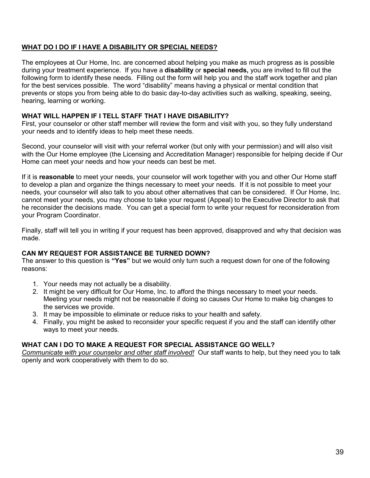# **WHAT DO I DO IF I HAVE A DISABILITY OR SPECIAL NEEDS?**

The employees at Our Home, Inc. are concerned about helping you make as much progress as is possible during your treatment experience. If you have a **disability** or **special needs,** you are invited to fill out the following form to identify these needs. Filling out the form will help you and the staff work together and plan for the best services possible. The word "disability" means having a physical or mental condition that prevents or stops you from being able to do basic day-to-day activities such as walking, speaking, seeing, hearing, learning or working.

### **WHAT WILL HAPPEN IF I TELL STAFF THAT I HAVE DISABILITY?**

First, your counselor or other staff member will review the form and visit with you, so they fully understand your needs and to identify ideas to help meet these needs.

Second, your counselor will visit with your referral worker (but only with your permission) and will also visit with the Our Home employee (the Licensing and Accreditation Manager) responsible for helping decide if Our Home can meet your needs and how your needs can best be met.

If it is **reasonable** to meet your needs, your counselor will work together with you and other Our Home staff to develop a plan and organize the things necessary to meet your needs. If it is not possible to meet your needs, your counselor will also talk to you about other alternatives that can be considered. If Our Home, Inc. cannot meet your needs, you may choose to take your request (Appeal) to the Executive Director to ask that he reconsider the decisions made. You can get a special form to write your request for reconsideration from your Program Coordinator.

Finally, staff will tell you in writing if your request has been approved, disapproved and why that decision was made.

#### **CAN MY REQUEST FOR ASSISTANCE BE TURNED DOWN?**

The answer to this question is **"Yes"** but we would only turn such a request down for one of the following reasons:

- 1. Your needs may not actually be a disability.
- 2. It might be very difficult for Our Home, Inc. to afford the things necessary to meet your needs. Meeting your needs might not be reasonable if doing so causes Our Home to make big changes to the services we provide.
- 3. It may be impossible to eliminate or reduce risks to your health and safety.
- 4. Finally, you might be asked to reconsider your specific request if you and the staff can identify other ways to meet your needs.

# **WHAT CAN I DO TO MAKE A REQUEST FOR SPECIAL ASSISTANCE GO WELL?**

*Communicate with your counselor and other staff involved!*Our staff wants to help, but they need you to talk openly and work cooperatively with them to do so.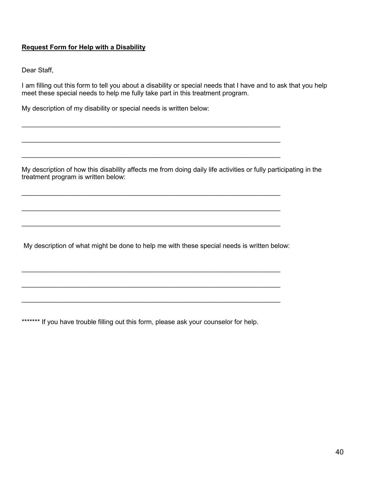# **Request Form for Help with a Disability**

Dear Staff,

I am filling out this form to tell you about a disability or special needs that I have and to ask that you help meet these special needs to help me fully take part in this treatment program.

My description of my disability or special needs is written below:

My description of how this disability affects me from doing daily life activities or fully participating in the treatment program is written below:

My description of what might be done to help me with these special needs is written below:

 $\_$  , and the contribution of the contribution of  $\mathcal{L}_\mathcal{A}$  , and the contribution of  $\mathcal{L}_\mathcal{A}$  , and the contribution of  $\mathcal{L}_\mathcal{A}$ 

 $\_$ 

 $\_$  , and the contribution of the contribution of  $\mathcal{L}_\mathcal{A}$  , and the contribution of  $\mathcal{L}_\mathcal{A}$  , and the contribution of  $\mathcal{L}_\mathcal{A}$ 

 $\_$  , and the contribution of the contribution of  $\mathcal{L}_\mathcal{A}$  , and the contribution of  $\mathcal{L}_\mathcal{A}$  , and the contribution of  $\mathcal{L}_\mathcal{A}$ 

 $\_$  , and the contribution of the contribution of  $\mathcal{L}_\mathcal{A}$  , and the contribution of  $\mathcal{L}_\mathcal{A}$ 

 $\_$ 

 $\_$  , and the contribution of the contribution of  $\mathcal{L}_\mathcal{A}$  , and the contribution of  $\mathcal{L}_\mathcal{A}$  , and the contribution of  $\mathcal{L}_\mathcal{A}$ 

 $\_$  , and the contribution of the contribution of  $\mathcal{L}_\mathcal{A}$  , and the contribution of  $\mathcal{L}_\mathcal{A}$ 

 $\_$ 

\*\*\*\*\*\*\* If you have trouble filling out this form, please ask your counselor for help.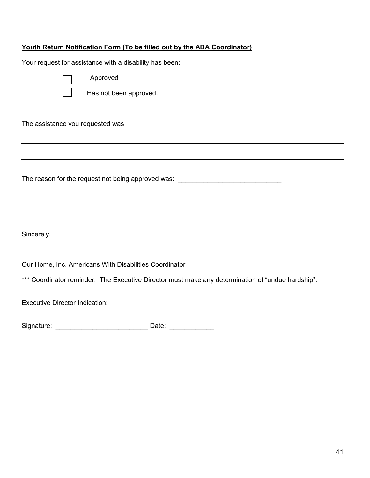# **Youth Return Notification Form (To be filled out by the ADA Coordinator)**

Your request for assistance with a disability has been:

Approved

Has not been approved.

The assistance you requested was \_\_\_\_\_\_\_\_\_\_\_\_\_\_\_\_\_\_\_\_\_\_\_\_\_\_\_\_\_\_\_\_\_\_\_\_\_\_\_\_\_\_

The reason for the request not being approved was: \_\_\_\_\_\_\_\_\_\_\_\_\_\_\_\_\_\_\_\_\_\_\_\_\_\_\_\_\_

Sincerely,

Our Home, Inc. Americans With Disabilities Coordinator

\*\*\* Coordinator reminder: The Executive Director must make any determination of "undue hardship".

Executive Director Indication:

Signature: \_\_\_\_\_\_\_\_\_\_\_\_\_\_\_\_\_\_\_\_\_\_\_\_\_ Date: \_\_\_\_\_\_\_\_\_\_\_\_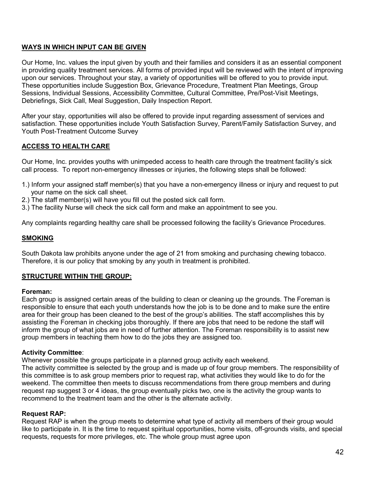# **WAYS IN WHICH INPUT CAN BE GIVEN**

Our Home, Inc. values the input given by youth and their families and considers it as an essential component in providing quality treatment services. All forms of provided input will be reviewed with the intent of improving upon our services. Throughout your stay, a variety of opportunities will be offered to you to provide input. These opportunities include Suggestion Box, Grievance Procedure, Treatment Plan Meetings, Group Sessions, Individual Sessions, Accessibility Committee, Cultural Committee, Pre/Post-Visit Meetings, Debriefings, Sick Call, Meal Suggestion, Daily Inspection Report.

After your stay, opportunities will also be offered to provide input regarding assessment of services and satisfaction. These opportunities include Youth Satisfaction Survey, Parent/Family Satisfaction Survey, and Youth Post-Treatment Outcome Survey

# **ACCESS TO HEALTH CARE**

Our Home, Inc. provides youths with unimpeded access to health care through the treatment facility's sick call process. To report non-emergency illnesses or injuries, the following steps shall be followed:

- 1.) Inform your assigned staff member(s) that you have a non-emergency illness or injury and request to put your name on the sick call sheet.
- 2.) The staff member(s) will have you fill out the posted sick call form.
- 3.) The facility Nurse will check the sick call form and make an appointment to see you.

Any complaints regarding healthy care shall be processed following the facility's Grievance Procedures.

#### **SMOKING**

South Dakota law prohibits anyone under the age of 21 from smoking and purchasing chewing tobacco. Therefore, it is our policy that smoking by any youth in treatment is prohibited.

#### **STRUCTURE WITHIN THE GROUP:**

#### **Foreman:**

Each group is assigned certain areas of the building to clean or cleaning up the grounds. The Foreman is responsible to ensure that each youth understands how the job is to be done and to make sure the entire area for their group has been cleaned to the best of the group's abilities. The staff accomplishes this by assisting the Foreman in checking jobs thoroughly. If there are jobs that need to be redone the staff will inform the group of what jobs are in need of further attention. The Foreman responsibility is to assist new group members in teaching them how to do the jobs they are assigned too.

#### **Activity Committee**:

Whenever possible the groups participate in a planned group activity each weekend.

The activity committee is selected by the group and is made up of four group members. The responsibility of this committee is to ask group members prior to request rap, what activities they would like to do for the weekend. The committee then meets to discuss recommendations from there group members and during request rap suggest 3 or 4 ideas, the group eventually picks two, one is the activity the group wants to recommend to the treatment team and the other is the alternate activity.

#### **Request RAP:**

Request RAP is when the group meets to determine what type of activity all members of their group would like to participate in. It is the time to request spiritual opportunities, home visits, off-grounds visits, and special requests, requests for more privileges, etc. The whole group must agree upon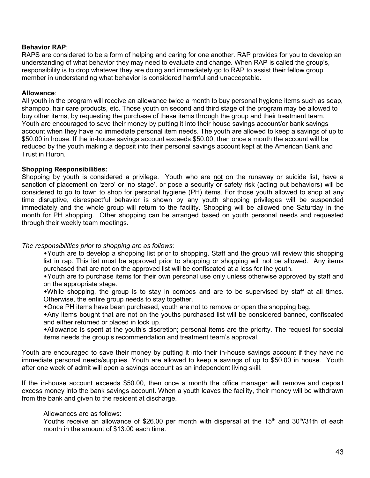#### **Behavior RAP**:

RAPS are considered to be a form of helping and caring for one another. RAP provides for you to develop an understanding of what behavior they may need to evaluate and change. When RAP is called the group's, responsibility is to drop whatever they are doing and immediately go to RAP to assist their fellow group member in understanding what behavior is considered harmful and unacceptable.

#### **Allowance**:

All youth in the program will receive an allowance twice a month to buy personal hygiene items such as soap, shampoo, hair care products, etc. Those youth on second and third stage of the program may be allowed to buy other items, by requesting the purchase of these items through the group and their treatment team. Youth are encouraged to save their money by putting it into their house savings account/or bank savings account when they have no immediate personal item needs. The youth are allowed to keep a savings of up to \$50.00 in house. If the in-house savings account exceeds \$50.00, then once a month the account will be reduced by the youth making a deposit into their personal savings account kept at the American Bank and Trust in Huron.

#### **Shopping Responsibilities:**

Shopping by youth is considered a privilege. Youth who are not on the runaway or suicide list, have a sanction of placement on 'zero' or 'no stage', or pose a security or safety risk (acting out behaviors) will be considered to go to town to shop for personal hygiene (PH) items. For those youth allowed to shop at any time disruptive, disrespectful behavior is shown by any youth shopping privileges will be suspended immediately and the whole group will return to the facility. Shopping will be allowed one Saturday in the month for PH shopping. Other shopping can be arranged based on youth personal needs and requested through their weekly team meetings.

#### *The responsibilities prior to shopping are as follows:*

Youth are to develop a shopping list prior to shopping. Staff and the group will review this shopping list in rap. This list must be approved prior to shopping or shopping will not be allowed. Any items purchased that are not on the approved list will be confiscated at a loss for the youth.

Youth are to purchase items for their own personal use only unless otherwise approved by staff and on the appropriate stage.

While shopping, the group is to stay in combos and are to be supervised by staff at all times. Otherwise, the entire group needs to stay together.

Once PH items have been purchased, youth are not to remove or open the shopping bag.

Any items bought that are not on the youths purchased list will be considered banned, confiscated and either returned or placed in lock up.

Allowance is spent at the youth's discretion; personal items are the priority. The request for special items needs the group's recommendation and treatment team's approval.

Youth are encouraged to save their money by putting it into their in-house savings account if they have no immediate personal needs/supplies. Youth are allowed to keep a savings of up to \$50.00 in house. Youth after one week of admit will open a savings account as an independent living skill.

If the in-house account exceeds \$50.00, then once a month the office manager will remove and deposit excess money into the bank savings account. When a youth leaves the facility, their money will be withdrawn from the bank and given to the resident at discharge.

#### Allowances are as follows:

Youths receive an allowance of \$26.00 per month with dispersal at the 15<sup>th</sup> and 30<sup>th</sup>/31th of each month in the amount of \$13.00 each time.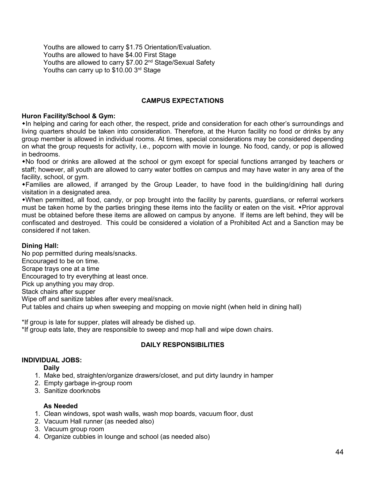Youths are allowed to carry \$1.75 Orientation/Evaluation. Youths are allowed to have \$4.00 First Stage Youths are allowed to carry \$7.00 2<sup>nd</sup> Stage/Sexual Safety Youths can carry up to \$10.00 3rd Stage

# **CAMPUS EXPECTATIONS**

#### **Huron Facility/School & Gym:**

In helping and caring for each other, the respect, pride and consideration for each other's surroundings and living quarters should be taken into consideration. Therefore, at the Huron facility no food or drinks by any group member is allowed in individual rooms. At times, special considerations may be considered depending on what the group requests for activity, i.e., popcorn with movie in lounge. No food, candy, or pop is allowed in bedrooms.

No food or drinks are allowed at the school or gym except for special functions arranged by teachers or staff; however, all youth are allowed to carry water bottles on campus and may have water in any area of the facility, school, or gym.

Families are allowed, if arranged by the Group Leader, to have food in the building/dining hall during visitation in a designated area.

When permitted, all food, candy, or pop brought into the facility by parents, guardians, or referral workers must be taken home by the parties bringing these items into the facility or eaten on the visit. • Prior approval must be obtained before these items are allowed on campus by anyone. If items are left behind, they will be confiscated and destroyed. This could be considered a violation of a Prohibited Act and a Sanction may be considered if not taken.

#### **Dining Hall:**

No pop permitted during meals/snacks. Encouraged to be on time. Scrape trays one at a time Encouraged to try everything at least once. Pick up anything you may drop. Stack chairs after supper Wipe off and sanitize tables after every meal/snack. Put tables and chairs up when sweeping and mopping on movie night (when held in dining hall)

\*If group is late for supper, plates will already be dished up. \*If group eats late, they are responsible to sweep and mop hall and wipe down chairs.

#### **DAILY RESPONSIBILITIES**

#### **INDIVIDUAL JOBS:**

#### **Daily**

- 1. Make bed, straighten/organize drawers/closet, and put dirty laundry in hamper
- 2. Empty garbage in-group room
- 3. Sanitize doorknobs

#### **As Needed**

- 1. Clean windows, spot wash walls, wash mop boards, vacuum floor, dust
- 2. Vacuum Hall runner (as needed also)
- 3. Vacuum group room
- 4. Organize cubbies in lounge and school (as needed also)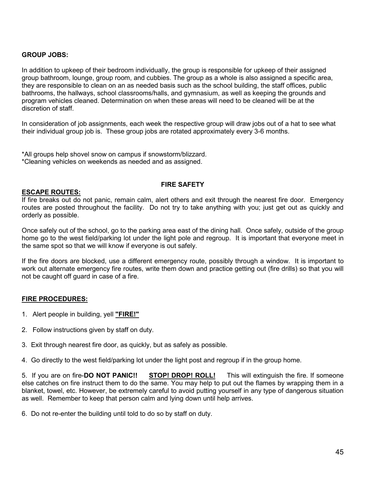#### **GROUP JOBS:**

In addition to upkeep of their bedroom individually, the group is responsible for upkeep of their assigned group bathroom, lounge, group room, and cubbies. The group as a whole is also assigned a specific area, they are responsible to clean on an as needed basis such as the school building, the staff offices, public bathrooms, the hallways, school classrooms/halls, and gymnasium, as well as keeping the grounds and program vehicles cleaned. Determination on when these areas will need to be cleaned will be at the discretion of staff.

In consideration of job assignments, each week the respective group will draw jobs out of a hat to see what their individual group job is. These group jobs are rotated approximately every 3-6 months.

\*All groups help shovel snow on campus if snowstorm/blizzard. \*Cleaning vehicles on weekends as needed and as assigned.

#### **FIRE SAFETY**

#### **ESCAPE ROUTES:**

If fire breaks out do not panic, remain calm, alert others and exit through the nearest fire door. Emergency routes are posted throughout the facility. Do not try to take anything with you; just get out as quickly and orderly as possible.

Once safely out of the school, go to the parking area east of the dining hall. Once safely, outside of the group home go to the west field/parking lot under the light pole and regroup. It is important that everyone meet in the same spot so that we will know if everyone is out safely.

If the fire doors are blocked, use a different emergency route, possibly through a window. It is important to work out alternate emergency fire routes, write them down and practice getting out (fire drills) so that you will not be caught off guard in case of a fire.

#### **FIRE PROCEDURES:**

- 1. Alert people in building, yell **"FIRE!"**
- 2. Follow instructions given by staff on duty.
- 3. Exit through nearest fire door, as quickly, but as safely as possible.
- 4. Go directly to the west field/parking lot under the light post and regroup if in the group home.

5. If you are on fire-**DO NOT PANIC!! STOP! DROP! ROLL!** This will extinguish the fire. If someone else catches on fire instruct them to do the same. You may help to put out the flames by wrapping them in a blanket, towel, etc. However, be extremely careful to avoid putting yourself in any type of dangerous situation as well. Remember to keep that person calm and lying down until help arrives.

6. Do not re-enter the building until told to do so by staff on duty.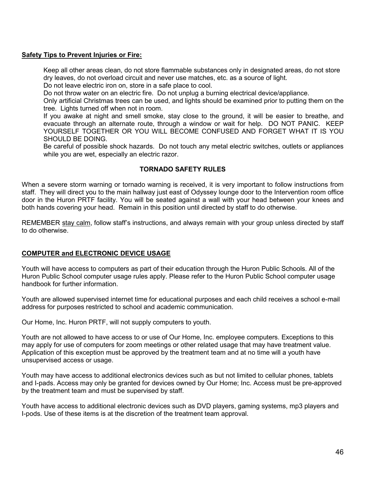#### **Safety Tips to Prevent Injuries or Fire:**

Keep all other areas clean, do not store flammable substances only in designated areas, do not store dry leaves, do not overload circuit and never use matches, etc. as a source of light.

Do not leave electric iron on, store in a safe place to cool.

Do not throw water on an electric fire. Do not unplug a burning electrical device/appliance.

Only artificial Christmas trees can be used, and lights should be examined prior to putting them on the tree. Lights turned off when not in room.

If you awake at night and smell smoke, stay close to the ground, it will be easier to breathe, and evacuate through an alternate route, through a window or wait for help. DO NOT PANIC. KEEP YOURSELF TOGETHER OR YOU WILL BECOME CONFUSED AND FORGET WHAT IT IS YOU SHOULD BE DOING.

Be careful of possible shock hazards. Do not touch any metal electric switches, outlets or appliances while you are wet, especially an electric razor.

#### **TORNADO SAFETY RULES**

When a severe storm warning or tornado warning is received, it is very important to follow instructions from staff. They will direct you to the main hallway just east of Odyssey lounge door to the Intervention room office door in the Huron PRTF facility. You will be seated against a wall with your head between your knees and both hands covering your head. Remain in this position until directed by staff to do otherwise.

REMEMBER stay calm, follow staff's instructions, and always remain with your group unless directed by staff to do otherwise.

#### **COMPUTER and ELECTRONIC DEVICE USAGE**

Youth will have access to computers as part of their education through the Huron Public Schools. All of the Huron Public School computer usage rules apply. Please refer to the Huron Public School computer usage handbook for further information.

Youth are allowed supervised internet time for educational purposes and each child receives a school e-mail address for purposes restricted to school and academic communication.

Our Home, Inc. Huron PRTF, will not supply computers to youth.

Youth are not allowed to have access to or use of Our Home, Inc. employee computers. Exceptions to this may apply for use of computers for zoom meetings or other related usage that may have treatment value. Application of this exception must be approved by the treatment team and at no time will a youth have unsupervised access or usage.

Youth may have access to additional electronics devices such as but not limited to cellular phones, tablets and I-pads. Access may only be granted for devices owned by Our Home; Inc. Access must be pre-approved by the treatment team and must be supervised by staff.

Youth have access to additional electronic devices such as DVD players, gaming systems, mp3 players and I-pods. Use of these items is at the discretion of the treatment team approval.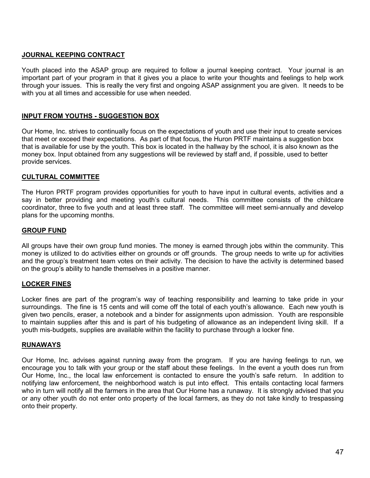# **JOURNAL KEEPING CONTRACT**

Youth placed into the ASAP group are required to follow a journal keeping contract. Your journal is an important part of your program in that it gives you a place to write your thoughts and feelings to help work through your issues. This is really the very first and ongoing ASAP assignment you are given. It needs to be with you at all times and accessible for use when needed.

# **INPUT FROM YOUTHS - SUGGESTION BOX**

Our Home, Inc. strives to continually focus on the expectations of youth and use their input to create services that meet or exceed their expectations. As part of that focus, the Huron PRTF maintains a suggestion box that is available for use by the youth. This box is located in the hallway by the school, it is also known as the money box. Input obtained from any suggestions will be reviewed by staff and, if possible, used to better provide services.

#### **CULTURAL COMMITTEE**

The Huron PRTF program provides opportunities for youth to have input in cultural events, activities and a say in better providing and meeting youth's cultural needs. This committee consists of the childcare coordinator, three to five youth and at least three staff. The committee will meet semi-annually and develop plans for the upcoming months.

#### **GROUP FUND**

All groups have their own group fund monies. The money is earned through jobs within the community. This money is utilized to do activities either on grounds or off grounds. The group needs to write up for activities and the group's treatment team votes on their activity. The decision to have the activity is determined based on the group's ability to handle themselves in a positive manner.

#### **LOCKER FINES**

Locker fines are part of the program's way of teaching responsibility and learning to take pride in your surroundings. The fine is 15 cents and will come off the total of each youth's allowance. Each new youth is given two pencils, eraser, a notebook and a binder for assignments upon admission. Youth are responsible to maintain supplies after this and is part of his budgeting of allowance as an independent living skill. If a youth mis-budgets, supplies are available within the facility to purchase through a locker fine.

#### **RUNAWAYS**

Our Home, Inc. advises against running away from the program. If you are having feelings to run, we encourage you to talk with your group or the staff about these feelings. In the event a youth does run from Our Home, Inc., the local law enforcement is contacted to ensure the youth's safe return. In addition to notifying law enforcement, the neighborhood watch is put into effect. This entails contacting local farmers who in turn will notify all the farmers in the area that Our Home has a runaway.It is strongly advised that you or any other youth do not enter onto property of the local farmers, as they do not take kindly to trespassing onto their property.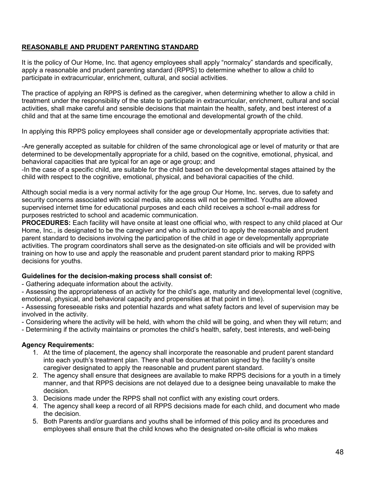# **REASONABLE AND PRUDENT PARENTING STANDARD**

It is the policy of Our Home, Inc. that agency employees shall apply "normalcy" standards and specifically, apply a reasonable and prudent parenting standard (RPPS) to determine whether to allow a child to participate in extracurricular, enrichment, cultural, and social activities.

The practice of applying an RPPS is defined as the caregiver, when determining whether to allow a child in treatment under the responsibility of the state to participate in extracurricular, enrichment, cultural and social activities, shall make careful and sensible decisions that maintain the health, safety, and best interest of a child and that at the same time encourage the emotional and developmental growth of the child.

In applying this RPPS policy employees shall consider age or developmentally appropriate activities that:

-Are generally accepted as suitable for children of the same chronological age or level of maturity or that are determined to be developmentally appropriate for a child, based on the cognitive, emotional, physical, and behavioral capacities that are typical for an age or age group; and

-In the case of a specific child, are suitable for the child based on the developmental stages attained by the child with respect to the cognitive, emotional, physical, and behavioral capacities of the child.

Although social media is a very normal activity for the age group Our Home, Inc. serves, due to safety and security concerns associated with social media, site access will not be permitted. Youths are allowed supervised internet time for educational purposes and each child receives a school e-mail address for purposes restricted to school and academic communication.

**PROCEDURES:** Each facility will have onsite at least one official who, with respect to any child placed at Our Home, Inc., is designated to be the caregiver and who is authorized to apply the reasonable and prudent parent standard to decisions involving the participation of the child in age or developmentally appropriate activities. The program coordinators shall serve as the designated-on site officials and will be provided with training on how to use and apply the reasonable and prudent parent standard prior to making RPPS decisions for youths.

#### **Guidelines for the decision-making process shall consist of:**

- Gathering adequate information about the activity.

- Assessing the appropriateness of an activity for the child's age, maturity and developmental level (cognitive, emotional, physical, and behavioral capacity and propensities at that point in time).

- Assessing foreseeable risks and potential hazards and what safety factors and level of supervision may be involved in the activity.

- Considering where the activity will be held, with whom the child will be going, and when they will return; and

- Determining if the activity maintains or promotes the child's health, safety, best interests, and well-being

#### **Agency Requirements:**

- 1. At the time of placement, the agency shall incorporate the reasonable and prudent parent standard into each youth's treatment plan. There shall be documentation signed by the facility's onsite caregiver designated to apply the reasonable and prudent parent standard.
- 2. The agency shall ensure that designees are available to make RPPS decisions for a youth in a timely manner, and that RPPS decisions are not delayed due to a designee being unavailable to make the decision.
- 3. Decisions made under the RPPS shall not conflict with any existing court orders.
- 4. The agency shall keep a record of all RPPS decisions made for each child, and document who made the decision.
- 5. Both Parents and/or guardians and youths shall be informed of this policy and its procedures and employees shall ensure that the child knows who the designated on-site official is who makes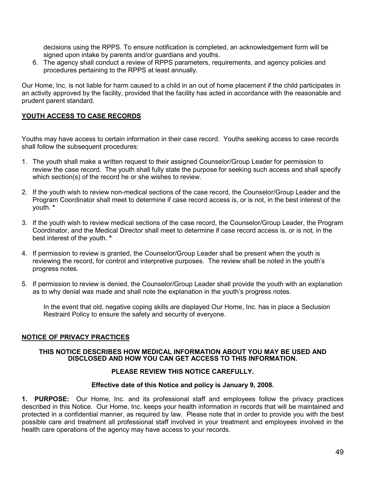decisions using the RPPS. To ensure notification is completed, an acknowledgement form will be signed upon intake by parents and/or guardians and youths.

6. The agency shall conduct a review of RPPS parameters, requirements, and agency policies and procedures pertaining to the RPPS at least annually.

Our Home, Inc. is not liable for harm caused to a child in an out of home placement if the child participates in an activity approved by the facility, provided that the facility has acted in accordance with the reasonable and prudent parent standard.

#### **YOUTH ACCESS TO CASE RECORDS**

Youths may have access to certain information in their case record. Youths seeking access to case records shall follow the subsequent procedures:

- 1. The youth shall make a written request to their assigned Counselor/Group Leader for permission to review the case record. The youth shall fully state the purpose for seeking such access and shall specify which section(s) of the record he or she wishes to review.
- 2. If the youth wish to review non-medical sections of the case record, the Counselor/Group Leader and the Program Coordinator shall meet to determine if case record access is, or is not, in the best interest of the youth. **\***
- 3. If the youth wish to review medical sections of the case record, the Counselor/Group Leader, the Program Coordinator, and the Medical Director shall meet to determine if case record access is, or is not, in the best interest of the youth. **\***
- 4. If permission to review is granted, the Counselor/Group Leader shall be present when the youth is reviewing the record, for control and interpretive purposes. The review shall be noted in the youth's progress notes.
- 5. If permission to review is denied, the Counselor/Group Leader shall provide the youth with an explanation as to why denial was made and shall note the explanation in the youth's progress notes.

In the event that old, negative coping skills are displayed Our Home, Inc. has in place a Seclusion Restraint Policy to ensure the safety and security of everyone.

#### **NOTICE OF PRIVACY PRACTICES**

#### **THIS NOTICE DESCRIBES HOW MEDICAL INFORMATION ABOUT YOU MAY BE USED AND DISCLOSED AND HOW YOU CAN GET ACCESS TO THIS INFORMATION.**

#### **PLEASE REVIEW THIS NOTICE CAREFULLY.**

#### **Effective date of this Notice and policy is January 9, 2008.**

**1. PURPOSE:** Our Home, Inc. and its professional staff and employees follow the privacy practices described in this Notice. Our Home, Inc. keeps your health information in records that will be maintained and protected in a confidential manner, as required by law. Please note that in order to provide you with the best possible care and treatment all professional staff involved in your treatment and employees involved in the health care operations of the agency may have access to your records.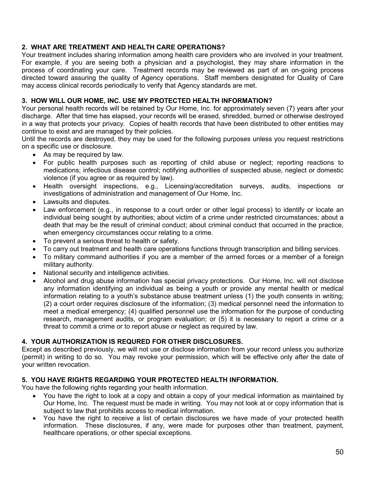# **2. WHAT ARE TREATMENT AND HEALTH CARE OPERATIONS?**

Your treatment includes sharing information among health care providers who are involved in your treatment. For example, if you are seeing both a physician and a psychologist, they may share information in the process of coordinating your care. Treatment records may be reviewed as part of an on-going process directed toward assuring the quality of Agency operations. Staff members designated for Quality of Care may access clinical records periodically to verify that Agency standards are met.

# **3. HOW WILL OUR HOME, INC. USE MY PROTECTED HEALTH INFORMATION?**

Your personal health records will be retained by Our Home, Inc. for approximately seven (7) years after your discharge. After that time has elapsed, your records will be erased, shredded, burned or otherwise destroyed in a way that protects your privacy. Copies of health records that have been distributed to other entities may continue to exist and are managed by their policies.

Until the records are destroyed, they may be used for the following purposes unless you request restrictions on a specific use or disclosure.

- As may be required by law.
- For public health purposes such as reporting of child abuse or neglect; reporting reactions to medications; infectious disease control; notifying authorities of suspected abuse, neglect or domestic violence (if you agree or as required by law).
- Health oversight inspections, e.g., Licensing/accreditation surveys, audits, inspections or investigations of administration and management of Our Home, Inc.
- Lawsuits and disputes.
- Law enforcement (e.g., in response to a court order or other legal process) to identify or locate an individual being sought by authorities; about victim of a crime under restricted circumstances; about a death that may be the result of criminal conduct; about criminal conduct that occurred in the practice, when emergency circumstances occur relating to a crime.
- To prevent a serious threat to health or safety.
- To carry out treatment and health care operations functions through transcription and billing services.
- To military command authorities if you are a member of the armed forces or a member of a foreign military authority.
- National security and intelligence activities.
- Alcohol and drug abuse information has special privacy protections. Our Home, Inc. will not disclose any information identifying an individual as being a youth or provide any mental health or medical information relating to a youth's substance abuse treatment unless (1) the youth consents in writing; (2) a court order requires disclosure of the information; (3) medical personnel need the information to meet a medical emergency; (4) qualified personnel use the information for the purpose of conducting research, management audits, or program evaluation; or (5) it is necessary to report a crime or a threat to commit a crime or to report abuse or neglect as required by law.

#### **4. YOUR AUTHORIZATION IS REQURED FOR OTHER DISCLOSURES.**

Except as described previously, we will not use or disclose information from your record unless you authorize (permit) in writing to do so. You may revoke your permission, which will be effective only after the date of your written revocation.

#### **5. YOU HAVE RIGHTS REGARDING YOUR PROTECTED HEALTH INFORMATION.**

You have the following rights regarding your health information.

- You have the right to look at a copy and obtain a copy of your medical information as maintained by Our Home, Inc. The request must be made in writing. You may not look at or copy information that is subject to law that prohibits access to medical information.
- You have the right to receive a list of certain disclosures we have made of your protected health information. These disclosures, if any, were made for purposes other than treatment, payment, healthcare operations, or other special exceptions.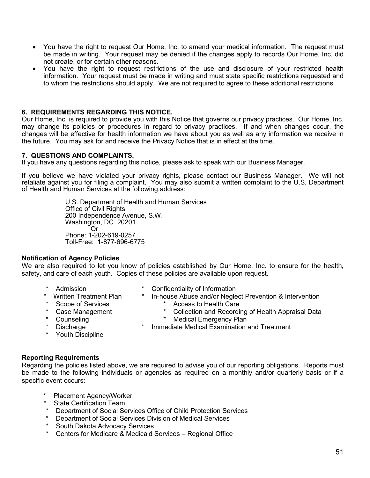- You have the right to request Our Home, Inc. to amend your medical information. The request must be made in writing. Your request may be denied if the changes apply to records Our Home, Inc. did not create, or for certain other reasons.
- You have the right to request restrictions of the use and disclosure of your restricted health information. Your request must be made in writing and must state specific restrictions requested and to whom the restrictions should apply. We are not required to agree to these additional restrictions.

#### **6. REQUIREMENTS REGARDING THIS NOTICE.**

Our Home, Inc. is required to provide you with this Notice that governs our privacy practices. Our Home, Inc. may change its policies or procedures in regard to privacy practices. If and when changes occur, the changes will be effective for health information we have about you as well as any information we receive in the future. You may ask for and receive the Privacy Notice that is in effect at the time.

#### **7. QUESTIONS AND COMPLAINTS.**

If you have any questions regarding this notice, please ask to speak with our Business Manager.

If you believe we have violated your privacy rights, please contact our Business Manager. We will not retaliate against you for filing a complaint. You may also submit a written complaint to the U.S. Department of Health and Human Services at the following address:

> U.S. Department of Health and Human Services Office of Civil Rights 200 Independence Avenue, S.W. Washington, DC 20201 Or Phone: 1-202-619-0257 Toll-Free: 1-877-696-6775

#### **Notification of Agency Policies**

We are also required to let you know of policies established by Our Home, Inc. to ensure for the health, safety, and care of each youth. Copies of these policies are available upon request.

- 
- \* Admission \* Confidentiality of Information
	- Written Treatment Plan \* In-house Abuse and/or Neglect Prevention & Intervention
		-
- 
- \* Scope of Services \* \* Access to Health Care<br>\* Case Management \* \* Collection and Recordin
- \* Case Management \* Collection and Recording of Health Appraisal Data<br>\* Counseling \* \* Medical Emergency Plan **Medical Emergency Plan**
- -
- Youth Discipline
- Discharge **\* 14.5 mmediate Medical Examination and Treatment**
- **Reporting Requirements**

Regarding the policies listed above, we are required to advise you of our reporting obligations. Reports must be made to the following individuals or agencies as required on a monthly and/or quarterly basis or if a specific event occurs:

- Placement Agency/Worker
- State Certification Team
- Department of Social Services Office of Child Protection Services
- \* Department of Social Services Division of Medical Services
- South Dakota Advocacy Services
- Centers for Medicare & Medicaid Services Regional Office